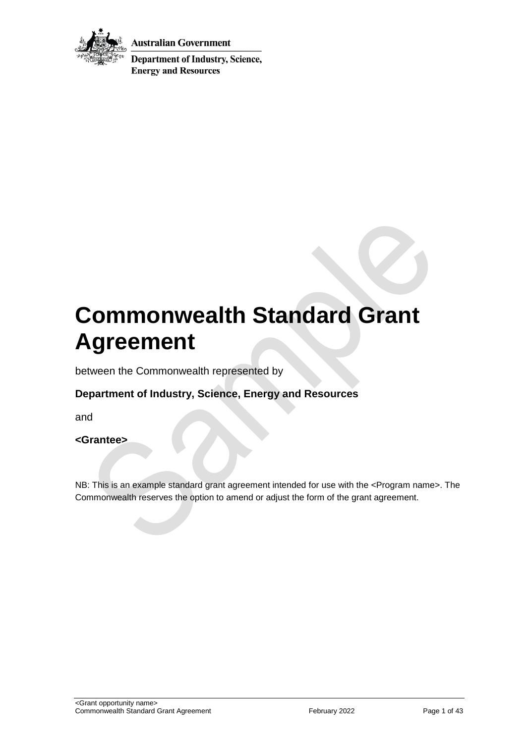

**Australian Government** 

**Department of Industry, Science, Energy and Resources** 

# **Commonwealth Standard Grant Agreement**

between the Commonwealth represented by

## **Department of Industry, Science, Energy and Resources**

and

#### **<Grantee>**

NB: This is an example standard grant agreement intended for use with the <Program name>. The Commonwealth reserves the option to amend or adjust the form of the grant agreement.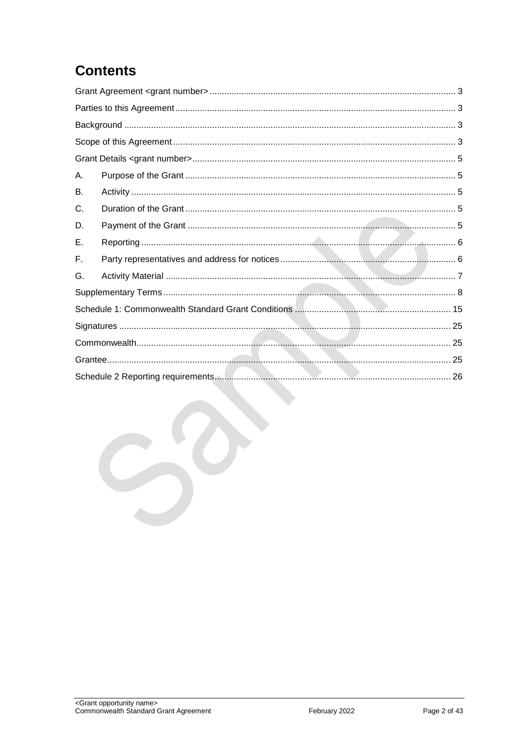## **Contents**

| Α. |  |  |  |
|----|--|--|--|
| В. |  |  |  |
| C. |  |  |  |
| D. |  |  |  |
| Е. |  |  |  |
| F. |  |  |  |
| G. |  |  |  |
|    |  |  |  |
|    |  |  |  |
|    |  |  |  |
|    |  |  |  |
|    |  |  |  |
|    |  |  |  |
|    |  |  |  |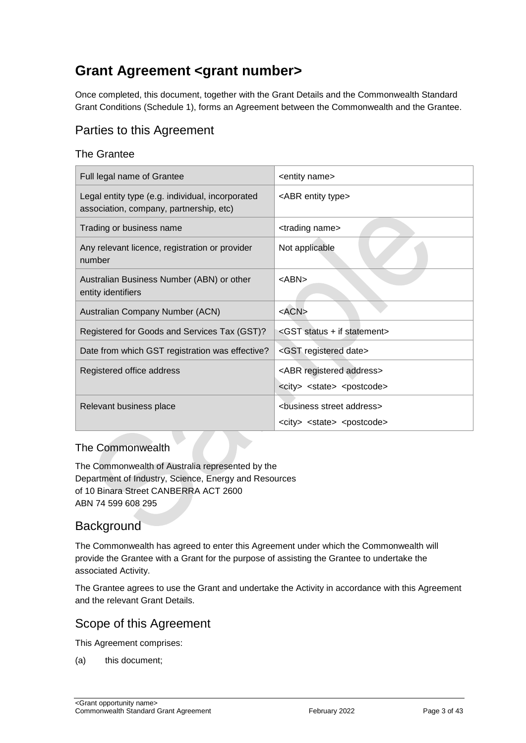## <span id="page-2-0"></span>**Grant Agreement <grant number>**

Once completed, this document, together with the Grant Details and the Commonwealth Standard Grant Conditions (Schedule 1), forms an Agreement between the Commonwealth and the Grantee.

## <span id="page-2-1"></span>Parties to this Agreement

#### The Grantee

| Full legal name of Grantee                                                                  | <entity name=""></entity>                                                                    |
|---------------------------------------------------------------------------------------------|----------------------------------------------------------------------------------------------|
| Legal entity type (e.g. individual, incorporated<br>association, company, partnership, etc) | <abr entity="" type=""></abr>                                                                |
| Trading or business name                                                                    | <trading name=""></trading>                                                                  |
| Any relevant licence, registration or provider<br>number                                    | Not applicable                                                                               |
| Australian Business Number (ABN) or other<br>entity identifiers                             | <abn></abn>                                                                                  |
| Australian Company Number (ACN)                                                             | $<$ ACN $>$                                                                                  |
| Registered for Goods and Services Tax (GST)?                                                | <gst +="" if="" statement="" status=""></gst>                                                |
| Date from which GST registration was effective?                                             | <gst date="" registered=""></gst>                                                            |
| Registered office address                                                                   | <abr address="" registered=""><br/><city> <state> <postcode></postcode></state></city></abr> |
|                                                                                             |                                                                                              |
| Relevant business place                                                                     | <business address="" street=""></business>                                                   |
|                                                                                             | <city> <state> <postcode></postcode></state></city>                                          |

#### The Commonwealth

The Commonwealth of Australia represented by the Department of Industry, Science, Energy and Resources of 10 Binara Street CANBERRA ACT 2600 ABN 74 599 608 295

## <span id="page-2-2"></span>**Background**

The Commonwealth has agreed to enter this Agreement under which the Commonwealth will provide the Grantee with a Grant for the purpose of assisting the Grantee to undertake the associated Activity.

The Grantee agrees to use the Grant and undertake the Activity in accordance with this Agreement and the relevant Grant Details.

## <span id="page-2-3"></span>Scope of this Agreement

This Agreement comprises:

(a) this document;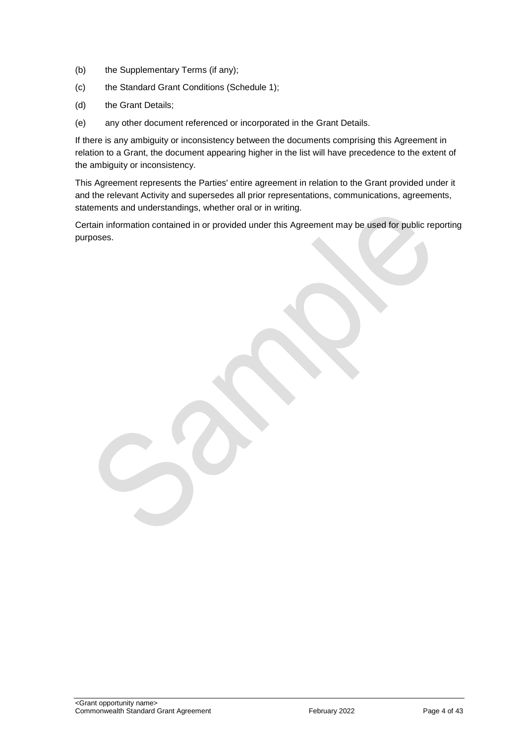- (b) the Supplementary Terms (if any);
- (c) the Standard Grant Conditions (Schedule 1);
- (d) the Grant Details;
- (e) any other document referenced or incorporated in the Grant Details.

If there is any ambiguity or inconsistency between the documents comprising this Agreement in relation to a Grant, the document appearing higher in the list will have precedence to the extent of the ambiguity or inconsistency.

This Agreement represents the Parties' entire agreement in relation to the Grant provided under it and the relevant Activity and supersedes all prior representations, communications, agreements, statements and understandings, whether oral or in writing.

Certain information contained in or provided under this Agreement may be used for public reporting purposes.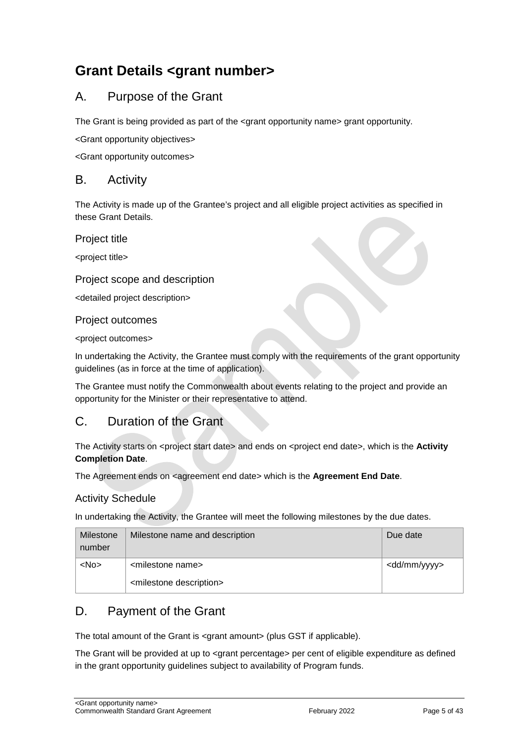## <span id="page-4-0"></span>**Grant Details <grant number>**

## <span id="page-4-1"></span>A. Purpose of the Grant

The Grant is being provided as part of the <grant opportunity name> grant opportunity.

<Grant opportunity objectives>

<Grant opportunity outcomes>

#### <span id="page-4-2"></span>B. Activity

The Activity is made up of the Grantee's project and all eligible project activities as specified in these Grant Details.

Project title

<project title>

#### Project scope and description

<detailed project description>

#### Project outcomes

<project outcomes>

In undertaking the Activity, the Grantee must comply with the requirements of the grant opportunity guidelines (as in force at the time of application).

The Grantee must notify the Commonwealth about events relating to the project and provide an opportunity for the Minister or their representative to attend.

## <span id="page-4-3"></span>C. Duration of the Grant

The Activity starts on <project start date> and ends on <project end date>, which is the **Activity Completion Date**.

The Agreement ends on <agreement end date> which is the **Agreement End Date**.

#### Activity Schedule

In undertaking the Activity, the Grantee will meet the following milestones by the due dates.

| Milestone<br>number | Milestone name and description         | Due date                |
|---------------------|----------------------------------------|-------------------------|
| $<$ No $>$          | <milestone name=""></milestone>        | <dd mm="" yyyy=""></dd> |
|                     | <milestone description=""></milestone> |                         |

## <span id="page-4-4"></span>D. Payment of the Grant

The total amount of the Grant is <grant amount> (plus GST if applicable).

The Grant will be provided at up to <grant percentage> per cent of eligible expenditure as defined in the grant opportunity guidelines subject to availability of Program funds.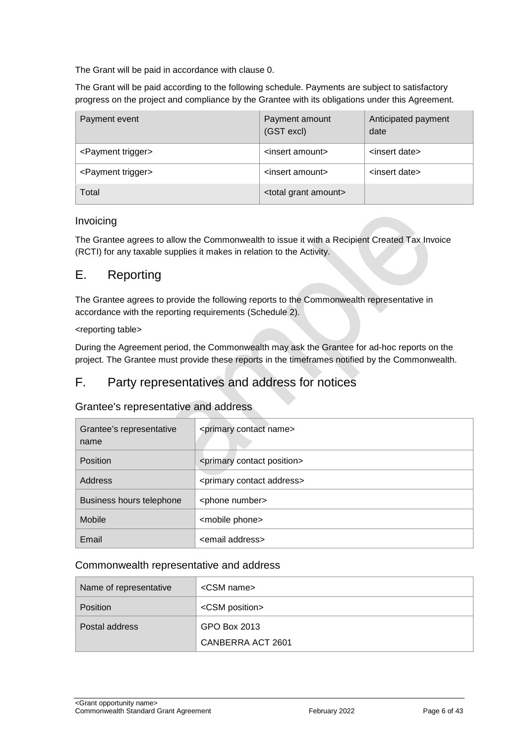The Grant will be paid in accordance with clause [0.](#page-7-1)

The Grant will be paid according to the following schedule. Payments are subject to satisfactory progress on the project and compliance by the Grantee with its obligations under this Agreement.

| Payment event                  | Payment amount<br>(GST excl)       | Anticipated payment<br>date |
|--------------------------------|------------------------------------|-----------------------------|
| <payment trigger=""></payment> | <insert amount=""></insert>        | <insert date=""></insert>   |
| <payment trigger=""></payment> | <insert amount=""></insert>        | <insert date=""></insert>   |
| Total                          | <total amount="" grant=""></total> |                             |

#### Invoicing

The Grantee agrees to allow the Commonwealth to issue it with a Recipient Created Tax Invoice (RCTI) for any taxable supplies it makes in relation to the Activity.

#### <span id="page-5-0"></span>E. Reporting

The Grantee agrees to provide the following reports to the Commonwealth representative in accordance with the reporting requirements (Schedule 2).

#### <reporting table>

During the Agreement period, the Commonwealth may ask the Grantee for ad-hoc reports on the project. The Grantee must provide these reports in the timeframes notified by the Commonwealth.

#### <span id="page-5-1"></span>F. Party representatives and address for notices

#### Grantee's representative and address

| Grantee's representative<br>name | <primary contact="" name=""></primary>     |
|----------------------------------|--------------------------------------------|
| <b>Position</b>                  | <primary contact="" position=""></primary> |
| Address                          | <primary address="" contact=""></primary>  |
| Business hours telephone         | <phone number=""></phone>                  |
| Mobile                           | <mobile phone=""></mobile>                 |
| Email                            | <email address=""></email>                 |

#### Commonwealth representative and address

| Name of representative | <csm name=""></csm>     |
|------------------------|-------------------------|
| <b>Position</b>        | <csm position=""></csm> |
| Postal address         | GPO Box 2013            |
|                        | CANBERRA ACT 2601       |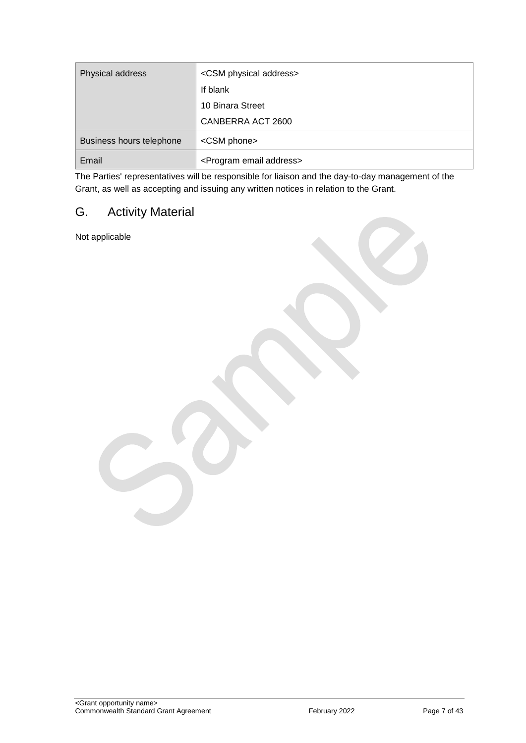| Physical address         | <csm address="" physical=""></csm>      |
|--------------------------|-----------------------------------------|
|                          | If blank                                |
|                          | 10 Binara Street                        |
|                          | CANBERRA ACT 2600                       |
| Business hours telephone | <csm phone=""></csm>                    |
| Email                    | <program address="" email=""></program> |

The Parties' representatives will be responsible for liaison and the day-to-day management of the Grant, as well as accepting and issuing any written notices in relation to the Grant.

## <span id="page-6-0"></span>G. Activity Material

Not applicable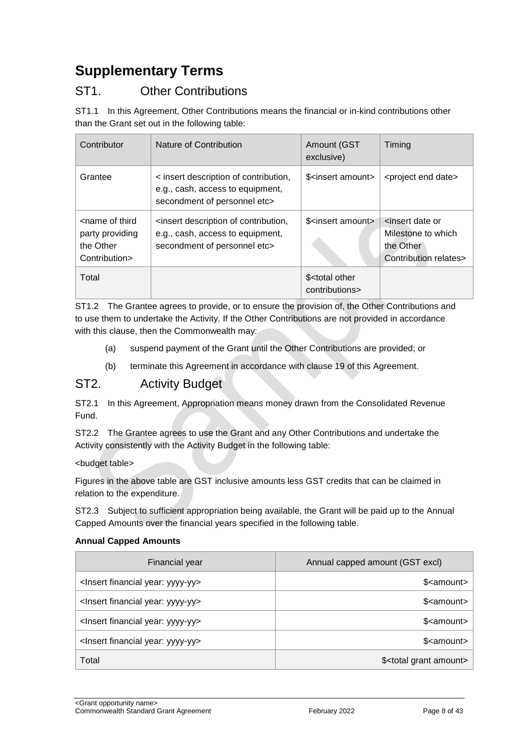## <span id="page-7-0"></span>**Supplementary Terms**

## ST1. Other Contributions

ST1.1 In this Agreement, Other Contributions means the financial or in-kind contributions other than the Grant set out in the following table:

| Contributor                                                                       | Nature of Contribution                                                                                    | Amount (GST<br>exclusive)                       | Timing                                                                                          |
|-----------------------------------------------------------------------------------|-----------------------------------------------------------------------------------------------------------|-------------------------------------------------|-------------------------------------------------------------------------------------------------|
| Grantee                                                                           | < insert description of contribution,<br>e.g., cash, access to equipment,<br>secondment of personnel etc> | \$ <insert amount=""></insert>                  | <project date="" end=""></project>                                                              |
| <name of="" third<br="">party providing<br/>the Other<br/>Contribution&gt;</name> | sinsert description of contribution,<br>e.g., cash, access to equipment,<br>secondment of personnel etc>  | \$ <insert amount=""></insert>                  | <insert date="" or<br="">Milestone to which<br/>the Other<br/>Contribution relates&gt;</insert> |
| Total                                                                             |                                                                                                           | \$ <total other<br="">contributions&gt;</total> |                                                                                                 |

ST1.2 The Grantee agrees to provide, or to ensure the provision of, the Other Contributions and to use them to undertake the Activity. If the Other Contributions are not provided in accordance with this clause, then the Commonwealth may:

- (a) suspend payment of the Grant until the Other Contributions are provided; or
- (b) terminate this Agreement in accordance with clause 19 of this Agreement.

#### <span id="page-7-1"></span>ST2. Activity Budget

ST2.1 In this Agreement, Appropriation means money drawn from the Consolidated Revenue Fund.

ST2.2 The Grantee agrees to use the Grant and any Other Contributions and undertake the Activity consistently with the Activity Budget in the following table:

#### <budget table>

Figures in the above table are GST inclusive amounts less GST credits that can be claimed in relation to the expenditure.

ST2.3 Subject to sufficient appropriation being available, the Grant will be paid up to the Annual Capped Amounts over the financial years specified in the following table.

#### **Annual Capped Amounts**

| Financial year                                     | Annual capped amount (GST excl)       |
|----------------------------------------------------|---------------------------------------|
| <lnsert financial="" year:="" yyyy-yy=""></lnsert> | \$ <amount></amount>                  |
| <lnsert financial="" year:="" yyyy-yy=""></lnsert> | \$ <amount></amount>                  |
| <lnsert financial="" year:="" yyyy-yy=""></lnsert> | \$ <amount></amount>                  |
| <lnsert financial="" year:="" yyyy-yy=""></lnsert> | \$ <amount></amount>                  |
| Total                                              | \$ <total amount="" grant=""></total> |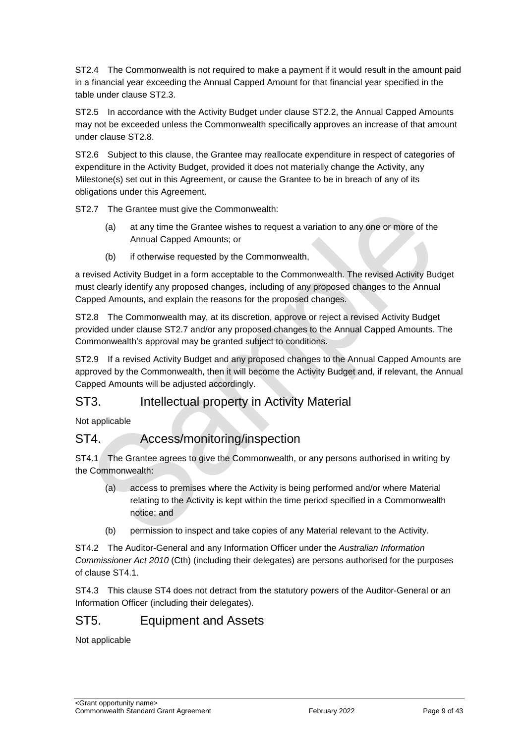ST2.4 The Commonwealth is not required to make a payment if it would result in the amount paid in a financial year exceeding the Annual Capped Amount for that financial year specified in the table under clause ST2.3.

ST2.5 In accordance with the Activity Budget under clause ST2.2, the Annual Capped Amounts may not be exceeded unless the Commonwealth specifically approves an increase of that amount under clause ST2.8.

ST2.6 Subject to this clause, the Grantee may reallocate expenditure in respect of categories of expenditure in the Activity Budget, provided it does not materially change the Activity, any Milestone(s) set out in this Agreement, or cause the Grantee to be in breach of any of its obligations under this Agreement.

ST2.7 The Grantee must give the Commonwealth:

- (a) at any time the Grantee wishes to request a variation to any one or more of the Annual Capped Amounts; or
- (b) if otherwise requested by the Commonwealth,

a revised Activity Budget in a form acceptable to the Commonwealth. The revised Activity Budget must clearly identify any proposed changes, including of any proposed changes to the Annual Capped Amounts, and explain the reasons for the proposed changes.

ST2.8 The Commonwealth may, at its discretion, approve or reject a revised Activity Budget provided under clause ST2.7 and/or any proposed changes to the Annual Capped Amounts. The Commonwealth's approval may be granted subject to conditions.

ST2.9 If a revised Activity Budget and any proposed changes to the Annual Capped Amounts are approved by the Commonwealth, then it will become the Activity Budget and, if relevant, the Annual Capped Amounts will be adjusted accordingly.

#### ST3. Intellectual property in Activity Material

Not applicable

## ST4. Access/monitoring/inspection

ST4.1 The Grantee agrees to give the Commonwealth, or any persons authorised in writing by the Commonwealth:

- (a) access to premises where the Activity is being performed and/or where Material relating to the Activity is kept within the time period specified in a Commonwealth notice; and
- (b) permission to inspect and take copies of any Material relevant to the Activity.

ST4.2 The Auditor-General and any Information Officer under the *Australian Information Commissioner Act 2010* (Cth) (including their delegates) are persons authorised for the purposes of clause ST4.1.

ST4.3 This clause ST4 does not detract from the statutory powers of the Auditor-General or an Information Officer (including their delegates).

#### ST5. Equipment and Assets

Not applicable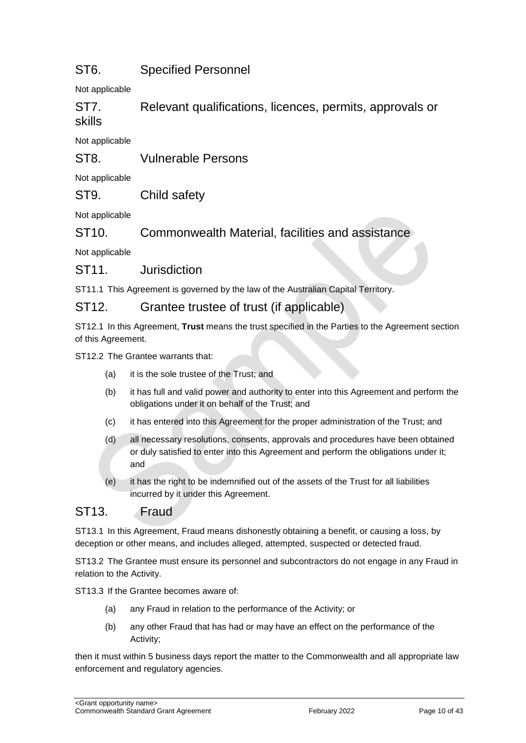## ST6. Specified Personnel

Not applicable

ST7. Relevant qualifications, licences, permits, approvals or skills

Not applicable

ST8. Vulnerable Persons

Not applicable

#### ST9. Child safety

Not applicable

ST10. Commonwealth Material, facilities and assistance

Not applicable

#### ST11. Jurisdiction

ST11.1 This Agreement is governed by the law of the Australian Capital Territory.

#### ST12. Grantee trustee of trust (if applicable)

ST12.1 In this Agreement, **Trust** means the trust specified in the Parties to the Agreement section of this Agreement.

ST12.2 The Grantee warrants that:

- (a) it is the sole trustee of the Trust; and
- (b) it has full and valid power and authority to enter into this Agreement and perform the obligations under it on behalf of the Trust; and
- (c) it has entered into this Agreement for the proper administration of the Trust; and
- (d) all necessary resolutions, consents, approvals and procedures have been obtained or duly satisfied to enter into this Agreement and perform the obligations under it; and
- (e) it has the right to be indemnified out of the assets of the Trust for all liabilities incurred by it under this Agreement.

## ST13. Fraud

ST13.1 In this Agreement, Fraud means dishonestly obtaining a benefit, or causing a loss, by deception or other means, and includes alleged, attempted, suspected or detected fraud.

ST13.2 The Grantee must ensure its personnel and subcontractors do not engage in any Fraud in relation to the Activity.

ST13.3 If the Grantee becomes aware of:

- (a) any Fraud in relation to the performance of the Activity; or
- (b) any other Fraud that has had or may have an effect on the performance of the Activity;

then it must within 5 business days report the matter to the Commonwealth and all appropriate law enforcement and regulatory agencies.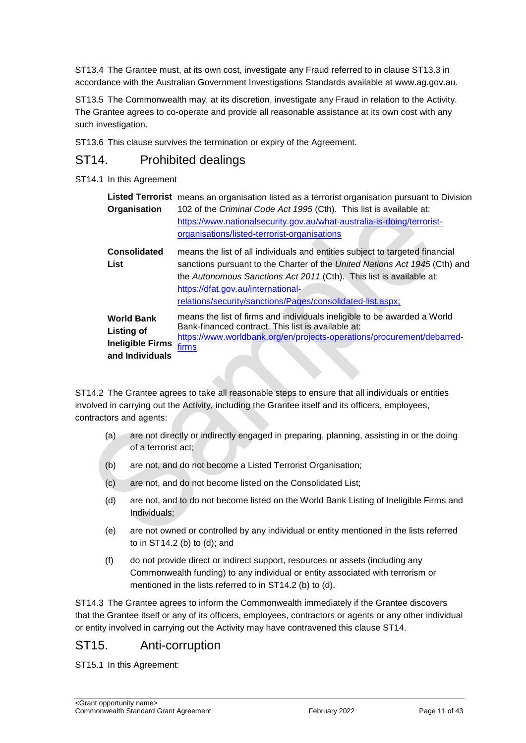ST13.4 The Grantee must, at its own cost, investigate any Fraud referred to in clause ST13.3 in accordance with the Australian Government Investigations Standards available at [www.ag.gov.au.](http://www.ag.gov.au/)

ST13.5 The Commonwealth may, at its discretion, investigate any Fraud in relation to the Activity. The Grantee agrees to co-operate and provide all reasonable assistance at its own cost with any such investigation.

ST13.6 This clause survives the termination or expiry of the Agreement.

## ST14. Prohibited dealings

#### ST14.1 In this Agreement

| Organisation                                                                  | <b>Listed Terrorist</b> means an organisation listed as a terrorist organisation pursuant to Division<br>102 of the Criminal Code Act 1995 (Cth). This list is available at:<br>https://www.nationalsecurity.gov.au/what-australia-is-doing/terrorist-<br>organisations/listed-terrorist-organisations                                |
|-------------------------------------------------------------------------------|---------------------------------------------------------------------------------------------------------------------------------------------------------------------------------------------------------------------------------------------------------------------------------------------------------------------------------------|
| <b>Consolidated</b><br>List                                                   | means the list of all individuals and entities subject to targeted financial<br>sanctions pursuant to the Charter of the United Nations Act 1945 (Cth) and<br>the Autonomous Sanctions Act 2011 (Cth). This list is available at:<br>https://dfat.gov.au/international-<br>relations/security/sanctions/Pages/consolidated-list.aspx; |
| <b>World Bank</b><br>Listing of<br><b>Ineligible Firms</b><br>and Individuals | means the list of firms and individuals ineligible to be awarded a World<br>Bank-financed contract. This list is available at:<br>https://www.worldbank.org/en/projects-operations/procurement/debarred-<br>firms                                                                                                                     |

ST14.2 The Grantee agrees to take all reasonable steps to ensure that all individuals or entities involved in carrying out the Activity, including the Grantee itself and its officers, employees, contractors and agents:

- (a) are not directly or indirectly engaged in preparing, planning, assisting in or the doing of a terrorist act;
- (b) are not, and do not become a Listed Terrorist Organisation;
- (c) are not, and do not become listed on the Consolidated List;
- (d) are not, and to do not become listed on the World Bank Listing of Ineligible Firms and Individuals;
- (e) are not owned or controlled by any individual or entity mentioned in the lists referred to in ST14.2 (b) to (d); and
- (f) do not provide direct or indirect support, resources or assets (including any Commonwealth funding) to any individual or entity associated with terrorism or mentioned in the lists referred to in ST14.2 (b) to (d).

ST14.3 The Grantee agrees to inform the Commonwealth immediately if the Grantee discovers that the Grantee itself or any of its officers, employees, contractors or agents or any other individual or entity involved in carrying out the Activity may have contravened this clause ST14.

## ST15. Anti-corruption

ST15.1 In this Agreement: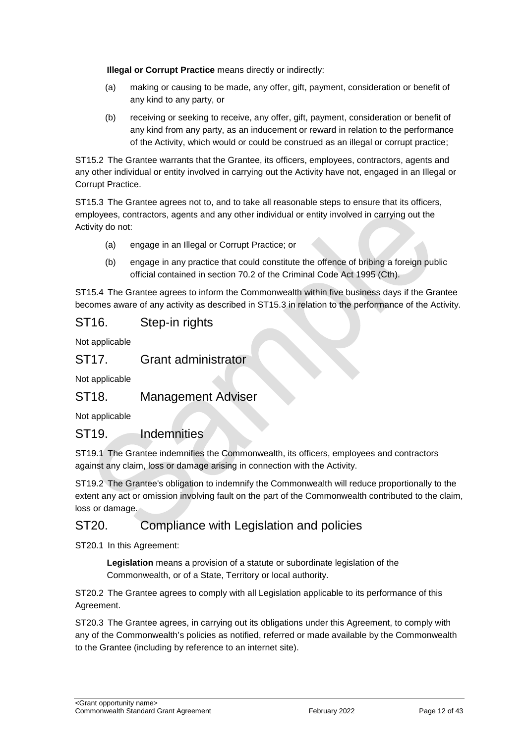**Illegal or Corrupt Practice** means directly or indirectly:

- (a) making or causing to be made, any offer, gift, payment, consideration or benefit of any kind to any party, or
- (b) receiving or seeking to receive, any offer, gift, payment, consideration or benefit of any kind from any party, as an inducement or reward in relation to the performance of the Activity, which would or could be construed as an illegal or corrupt practice;

ST15.2 The Grantee warrants that the Grantee, its officers, employees, contractors, agents and any other individual or entity involved in carrying out the Activity have not, engaged in an Illegal or Corrupt Practice.

ST15.3 The Grantee agrees not to, and to take all reasonable steps to ensure that its officers, employees, contractors, agents and any other individual or entity involved in carrying out the Activity do not:

- (a) engage in an Illegal or Corrupt Practice; or
- (b) engage in any practice that could constitute the offence of bribing a foreign public official contained in section 70.2 of the Criminal Code Act 1995 (Cth).

ST15.4 The Grantee agrees to inform the Commonwealth within five business days if the Grantee becomes aware of any activity as described in ST15.3 in relation to the performance of the Activity.

#### ST16. Step-in rights

Not applicable

#### ST17. Grant administrator

Not applicable

#### ST18. Management Adviser

Not applicable

#### ST19. Indemnities

ST19.1 The Grantee indemnifies the Commonwealth, its officers, employees and contractors against any claim, loss or damage arising in connection with the Activity.

ST19.2 The Grantee's obligation to indemnify the Commonwealth will reduce proportionally to the extent any act or omission involving fault on the part of the Commonwealth contributed to the claim, loss or damage.

#### ST20. Compliance with Legislation and policies

ST20.1 In this Agreement:

**Legislation** means a provision of a statute or subordinate legislation of the Commonwealth, or of a State, Territory or local authority.

ST20.2 The Grantee agrees to comply with all Legislation applicable to its performance of this Agreement.

ST20.3 The Grantee agrees, in carrying out its obligations under this Agreement, to comply with any of the Commonwealth's policies as notified, referred or made available by the Commonwealth to the Grantee (including by reference to an internet site).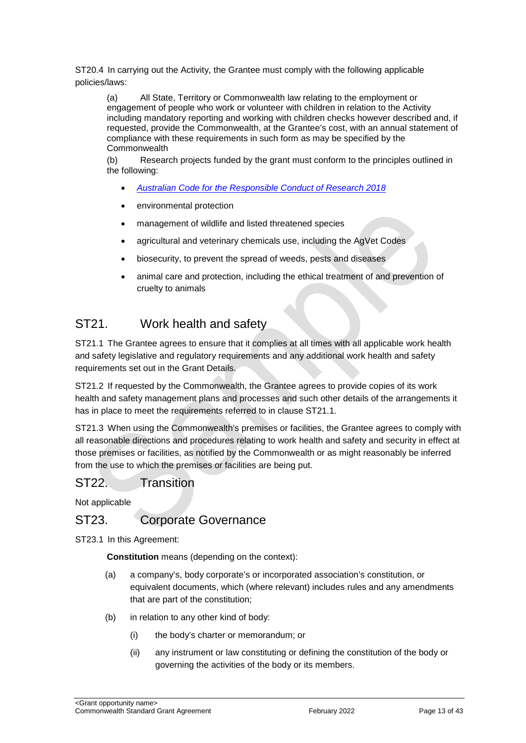ST20.4 In carrying out the Activity, the Grantee must comply with the following applicable policies/laws:

(a) All State, Territory or Commonwealth law relating to the employment or engagement of people who work or volunteer with children in relation to the Activity including mandatory reporting and working with children checks however described and, if requested, provide the Commonwealth, at the Grantee's cost, with an annual statement of compliance with these requirements in such form as may be specified by the **Commonwealth** 

(b) Research projects funded by the grant must conform to the principles outlined in the following:

- *[Australian Code for the Responsible Conduct of Research 2018](https://www.nhmrc.gov.au/about-us/publications/australian-code-responsible-conduct-research-2018)*
- environmental protection
- management of wildlife and listed threatened species
- agricultural and veterinary chemicals use, including the AgVet Codes
- biosecurity, to prevent the spread of weeds, pests and diseases
- animal care and protection, including the ethical treatment of and prevention of cruelty to animals

## ST21. Work health and safety

ST21.1 The Grantee agrees to ensure that it complies at all times with all applicable work health and safety legislative and regulatory requirements and any additional work health and safety requirements set out in the Grant Details.

ST21.2 If requested by the Commonwealth, the Grantee agrees to provide copies of its work health and safety management plans and processes and such other details of the arrangements it has in place to meet the requirements referred to in clause ST21.1.

ST21.3 When using the Commonwealth's premises or facilities, the Grantee agrees to comply with all reasonable directions and procedures relating to work health and safety and security in effect at those premises or facilities, as notified by the Commonwealth or as might reasonably be inferred from the use to which the premises or facilities are being put.

#### ST22. Transition

Not applicable

#### ST23. Corporate Governance

ST23.1 In this Agreement:

**Constitution** means (depending on the context):

- (a) a company's, body corporate's or incorporated association's constitution, or equivalent documents, which (where relevant) includes rules and any amendments that are part of the constitution;
- (b) in relation to any other kind of body:
	- (i) the body's charter or memorandum; or
	- (ii) any instrument or law constituting or defining the constitution of the body or governing the activities of the body or its members.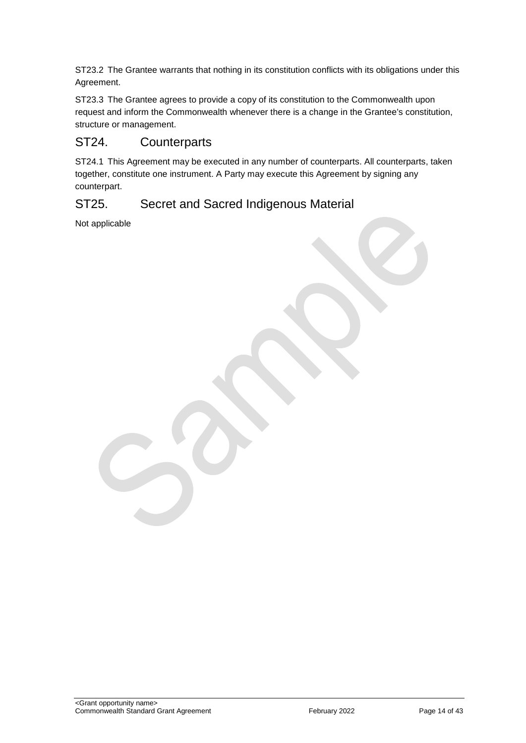ST23.2 The Grantee warrants that nothing in its constitution conflicts with its obligations under this Agreement.

ST23.3 The Grantee agrees to provide a copy of its constitution to the Commonwealth upon request and inform the Commonwealth whenever there is a change in the Grantee's constitution, structure or management.

### ST24. Counterparts

ST24.1 This Agreement may be executed in any number of counterparts. All counterparts, taken together, constitute one instrument. A Party may execute this Agreement by signing any counterpart.

#### ST25. Secret and Sacred Indigenous Material

Not applicable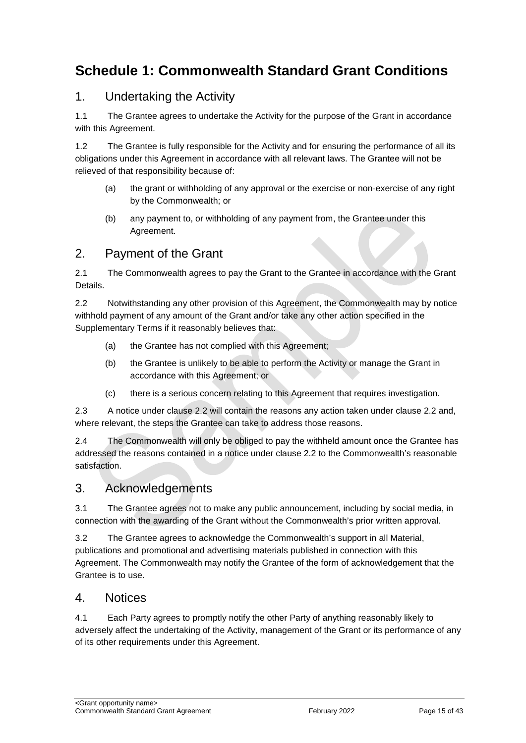## <span id="page-14-0"></span>**Schedule 1: Commonwealth Standard Grant Conditions**

## 1. Undertaking the Activity

1.1 The Grantee agrees to undertake the Activity for the purpose of the Grant in accordance with this Agreement.

1.2 The Grantee is fully responsible for the Activity and for ensuring the performance of all its obligations under this Agreement in accordance with all relevant laws. The Grantee will not be relieved of that responsibility because of:

- (a) the grant or withholding of any approval or the exercise or non‐exercise of any right by the Commonwealth; or
- (b) any payment to, or withholding of any payment from, the Grantee under this Agreement.

### 2. Payment of the Grant

2.1 The Commonwealth agrees to pay the Grant to the Grantee in accordance with the Grant Details.

2.2 Notwithstanding any other provision of this Agreement, the Commonwealth may by notice withhold payment of any amount of the Grant and/or take any other action specified in the Supplementary Terms if it reasonably believes that:

- (a) the Grantee has not complied with this Agreement;
- (b) the Grantee is unlikely to be able to perform the Activity or manage the Grant in accordance with this Agreement; or
- (c) there is a serious concern relating to this Agreement that requires investigation.

2.3 A notice under clause 2.2 will contain the reasons any action taken under clause 2.2 and, where relevant, the steps the Grantee can take to address those reasons.

2.4 The Commonwealth will only be obliged to pay the withheld amount once the Grantee has addressed the reasons contained in a notice under clause 2.2 to the Commonwealth's reasonable satisfaction.

#### 3. Acknowledgements

3.1 The Grantee agrees not to make any public announcement, including by social media, in connection with the awarding of the Grant without the Commonwealth's prior written approval.

3.2 The Grantee agrees to acknowledge the Commonwealth's support in all Material, publications and promotional and advertising materials published in connection with this Agreement. The Commonwealth may notify the Grantee of the form of acknowledgement that the Grantee is to use.

#### 4. Notices

4.1 Each Party agrees to promptly notify the other Party of anything reasonably likely to adversely affect the undertaking of the Activity, management of the Grant or its performance of any of its other requirements under this Agreement.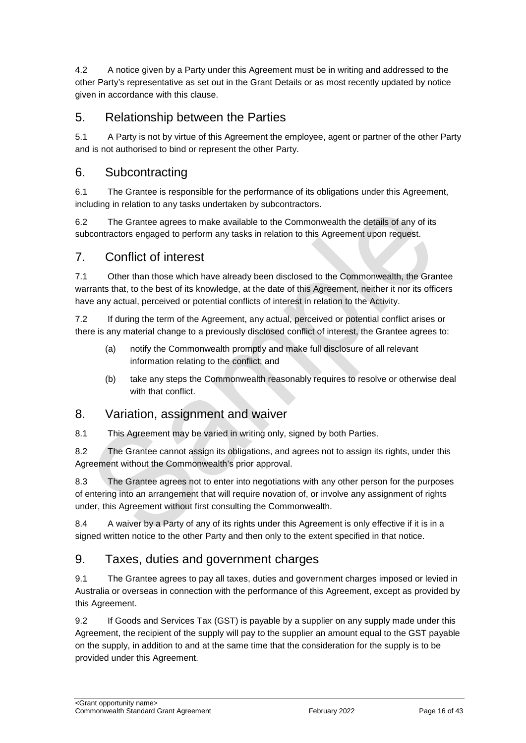4.2 A notice given by a Party under this Agreement must be in writing and addressed to the other Party's representative as set out in the Grant Details or as most recently updated by notice given in accordance with this clause.

## 5. Relationship between the Parties

5.1 A Party is not by virtue of this Agreement the employee, agent or partner of the other Party and is not authorised to bind or represent the other Party.

### 6. Subcontracting

6.1 The Grantee is responsible for the performance of its obligations under this Agreement, including in relation to any tasks undertaken by subcontractors.

6.2 The Grantee agrees to make available to the Commonwealth the details of any of its subcontractors engaged to perform any tasks in relation to this Agreement upon request.

#### 7. Conflict of interest

7.1 Other than those which have already been disclosed to the Commonwealth, the Grantee warrants that, to the best of its knowledge, at the date of this Agreement, neither it nor its officers have any actual, perceived or potential conflicts of interest in relation to the Activity.

7.2 If during the term of the Agreement, any actual, perceived or potential conflict arises or there is any material change to a previously disclosed conflict of interest, the Grantee agrees to:

- (a) notify the Commonwealth promptly and make full disclosure of all relevant information relating to the conflict; and
- (b) take any steps the Commonwealth reasonably requires to resolve or otherwise deal with that conflict.

#### 8. Variation, assignment and waiver

8.1 This Agreement may be varied in writing only, signed by both Parties.

8.2 The Grantee cannot assign its obligations, and agrees not to assign its rights, under this Agreement without the Commonwealth's prior approval.

8.3 The Grantee agrees not to enter into negotiations with any other person for the purposes of entering into an arrangement that will require novation of, or involve any assignment of rights under, this Agreement without first consulting the Commonwealth.

8.4 A waiver by a Party of any of its rights under this Agreement is only effective if it is in a signed written notice to the other Party and then only to the extent specified in that notice.

## 9. Taxes, duties and government charges

9.1 The Grantee agrees to pay all taxes, duties and government charges imposed or levied in Australia or overseas in connection with the performance of this Agreement, except as provided by this Agreement.

9.2 If Goods and Services Tax (GST) is payable by a supplier on any supply made under this Agreement, the recipient of the supply will pay to the supplier an amount equal to the GST payable on the supply, in addition to and at the same time that the consideration for the supply is to be provided under this Agreement.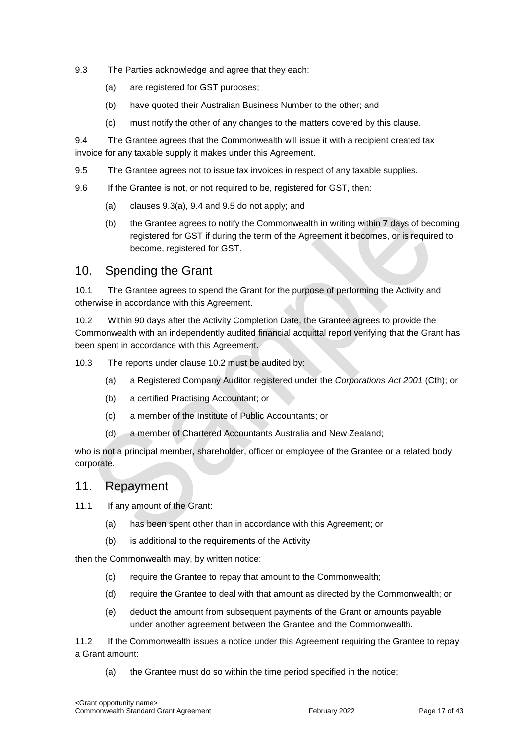- 9.3 The Parties acknowledge and agree that they each:
	- (a) are registered for GST purposes;
	- (b) have quoted their Australian Business Number to the other; and
	- (c) must notify the other of any changes to the matters covered by this clause.

9.4 The Grantee agrees that the Commonwealth will issue it with a recipient created tax invoice for any taxable supply it makes under this Agreement.

- 9.5 The Grantee agrees not to issue tax invoices in respect of any taxable supplies.
- 9.6 If the Grantee is not, or not required to be, registered for GST, then:
	- (a) clauses 9.3(a), 9.4 and 9.5 do not apply; and
	- (b) the Grantee agrees to notify the Commonwealth in writing within 7 days of becoming registered for GST if during the term of the Agreement it becomes, or is required to become, registered for GST.

#### 10. Spending the Grant

10.1 The Grantee agrees to spend the Grant for the purpose of performing the Activity and otherwise in accordance with this Agreement.

10.2 Within 90 days after the Activity Completion Date, the Grantee agrees to provide the Commonwealth with an independently audited financial acquittal report verifying that the Grant has been spent in accordance with this Agreement.

10.3 The reports under clause 10.2 must be audited by:

- (a) a Registered Company Auditor registered under the *Corporations Act 2001* (Cth); or
- (b) a certified Practising Accountant; or
- (c) a member of the Institute of Public Accountants; or
- (d) a member of Chartered Accountants Australia and New Zealand;

who is not a principal member, shareholder, officer or employee of the Grantee or a related body corporate.

#### 11. Repayment

- 11.1 If any amount of the Grant:
	- (a) has been spent other than in accordance with this Agreement; or
	- (b) is additional to the requirements of the Activity

then the Commonwealth may, by written notice:

- (c) require the Grantee to repay that amount to the Commonwealth;
- (d) require the Grantee to deal with that amount as directed by the Commonwealth; or
- (e) deduct the amount from subsequent payments of the Grant or amounts payable under another agreement between the Grantee and the Commonwealth.

11.2 If the Commonwealth issues a notice under this Agreement requiring the Grantee to repay a Grant amount:

(a) the Grantee must do so within the time period specified in the notice;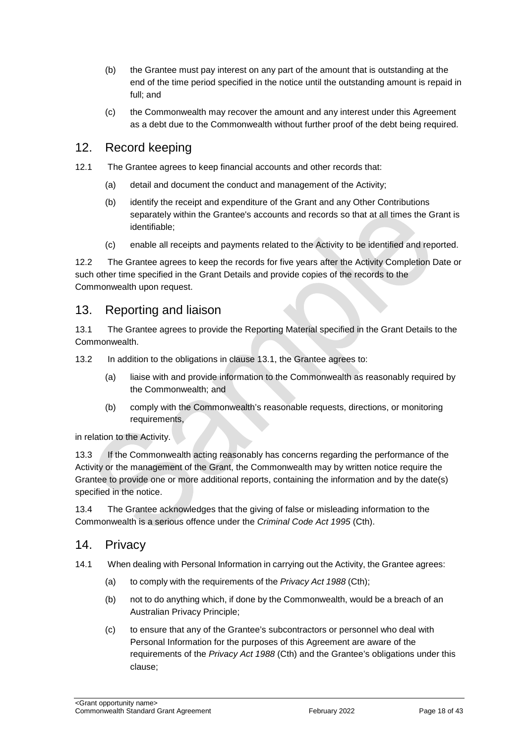- (b) the Grantee must pay interest on any part of the amount that is outstanding at the end of the time period specified in the notice until the outstanding amount is repaid in full; and
- (c) the Commonwealth may recover the amount and any interest under this Agreement as a debt due to the Commonwealth without further proof of the debt being required.

#### 12. Record keeping

- 12.1 The Grantee agrees to keep financial accounts and other records that:
	- (a) detail and document the conduct and management of the Activity;
	- (b) identify the receipt and expenditure of the Grant and any Other Contributions separately within the Grantee's accounts and records so that at all times the Grant is identifiable;
	- (c) enable all receipts and payments related to the Activity to be identified and reported.

12.2 The Grantee agrees to keep the records for five years after the Activity Completion Date or such other time specified in the Grant Details and provide copies of the records to the Commonwealth upon request.

#### 13. Reporting and liaison

13.1 The Grantee agrees to provide the Reporting Material specified in the Grant Details to the Commonwealth.

13.2 In addition to the obligations in clause 13.1, the Grantee agrees to:

- (a) liaise with and provide information to the Commonwealth as reasonably required by the Commonwealth; and
- (b) comply with the Commonwealth's reasonable requests, directions, or monitoring requirements,

in relation to the Activity.

13.3 If the Commonwealth acting reasonably has concerns regarding the performance of the Activity or the management of the Grant, the Commonwealth may by written notice require the Grantee to provide one or more additional reports, containing the information and by the date(s) specified in the notice.

13.4 The Grantee acknowledges that the giving of false or misleading information to the Commonwealth is a serious offence under the *Criminal Code Act 1995* (Cth).

#### 14. Privacy

- 14.1 When dealing with Personal Information in carrying out the Activity, the Grantee agrees:
	- (a) to comply with the requirements of the *Privacy Act 1988* (Cth);
	- (b) not to do anything which, if done by the Commonwealth, would be a breach of an Australian Privacy Principle;
	- (c) to ensure that any of the Grantee's subcontractors or personnel who deal with Personal Information for the purposes of this Agreement are aware of the requirements of the *Privacy Act 1988* (Cth) and the Grantee's obligations under this clause;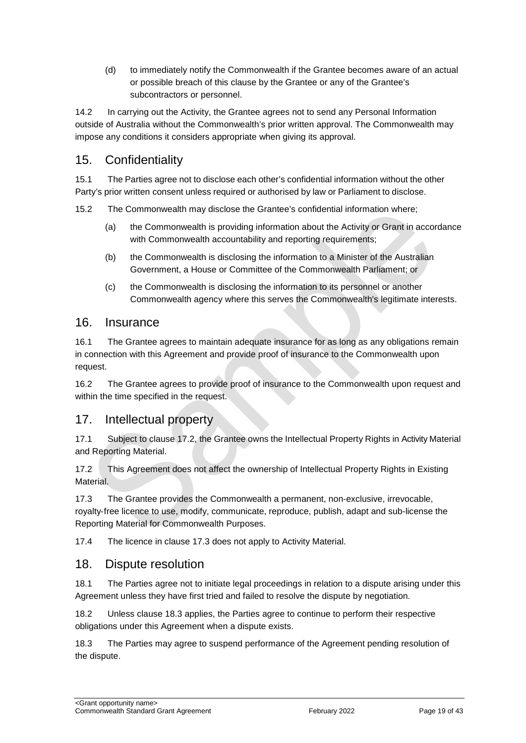(d) to immediately notify the Commonwealth if the Grantee becomes aware of an actual or possible breach of this clause by the Grantee or any of the Grantee's subcontractors or personnel.

14.2 In carrying out the Activity, the Grantee agrees not to send any Personal Information outside of Australia without the Commonwealth's prior written approval. The Commonwealth may impose any conditions it considers appropriate when giving its approval.

## 15. Confidentiality

15.1 The Parties agree not to disclose each other's confidential information without the other Party's prior written consent unless required or authorised by law or Parliament to disclose.

15.2 The Commonwealth may disclose the Grantee's confidential information where;

- (a) the Commonwealth is providing information about the Activity or Grant in accordance with Commonwealth accountability and reporting requirements;
- (b) the Commonwealth is disclosing the information to a Minister of the Australian Government, a House or Committee of the Commonwealth Parliament; or
- (c) the Commonwealth is disclosing the information to its personnel or another Commonwealth agency where this serves the Commonwealth's legitimate interests.

#### 16. Insurance

16.1 The Grantee agrees to maintain adequate insurance for as long as any obligations remain in connection with this Agreement and provide proof of insurance to the Commonwealth upon request.

16.2 The Grantee agrees to provide proof of insurance to the Commonwealth upon request and within the time specified in the request.

#### 17. Intellectual property

17.1 Subject to clause 17.2, the Grantee owns the Intellectual Property Rights in Activity Material and Reporting Material.

17.2 This Agreement does not affect the ownership of Intellectual Property Rights in Existing **Material** 

17.3 The Grantee provides the Commonwealth a permanent, non-exclusive, irrevocable, royalty‐free licence to use, modify, communicate, reproduce, publish, adapt and sub-license the Reporting Material for Commonwealth Purposes.

17.4 The licence in clause 17.3 does not apply to Activity Material.

#### 18. Dispute resolution

18.1 The Parties agree not to initiate legal proceedings in relation to a dispute arising under this Agreement unless they have first tried and failed to resolve the dispute by negotiation.

18.2 Unless clause 18.3 applies, the Parties agree to continue to perform their respective obligations under this Agreement when a dispute exists.

18.3 The Parties may agree to suspend performance of the Agreement pending resolution of the dispute.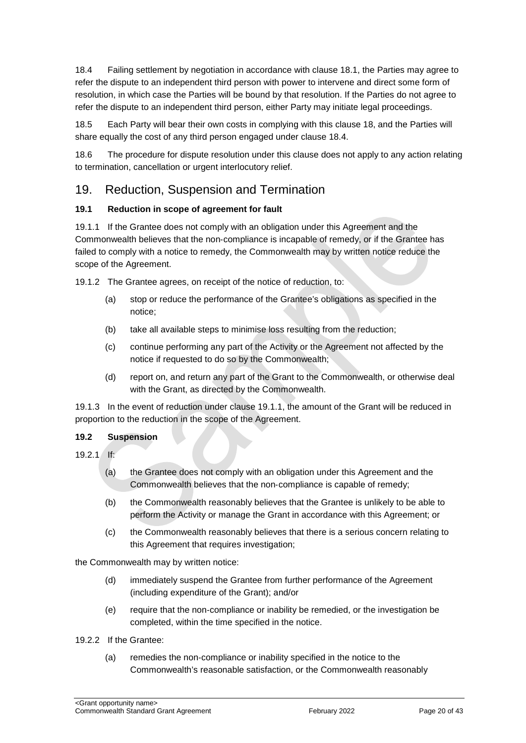18.4 Failing settlement by negotiation in accordance with clause 18.1, the Parties may agree to refer the dispute to an independent third person with power to intervene and direct some form of resolution, in which case the Parties will be bound by that resolution. If the Parties do not agree to refer the dispute to an independent third person, either Party may initiate legal proceedings.

18.5 Each Party will bear their own costs in complying with this clause 18, and the Parties will share equally the cost of any third person engaged under clause 18.4.

18.6 The procedure for dispute resolution under this clause does not apply to any action relating to termination, cancellation or urgent interlocutory relief.

#### 19. Reduction, Suspension and Termination

#### **19.1 Reduction in scope of agreement for fault**

19.1.1 If the Grantee does not comply with an obligation under this Agreement and the Commonwealth believes that the non‐compliance is incapable of remedy, or if the Grantee has failed to comply with a notice to remedy, the Commonwealth may by written notice reduce the scope of the Agreement.

19.1.2 The Grantee agrees, on receipt of the notice of reduction, to:

- (a) stop or reduce the performance of the Grantee's obligations as specified in the notice;
- (b) take all available steps to minimise loss resulting from the reduction;
- (c) continue performing any part of the Activity or the Agreement not affected by the notice if requested to do so by the Commonwealth;
- (d) report on, and return any part of the Grant to the Commonwealth, or otherwise deal with the Grant, as directed by the Commonwealth.

19.1.3 In the event of reduction under clause 19.1.1, the amount of the Grant will be reduced in proportion to the reduction in the scope of the Agreement.

#### **19.2 Suspension**

- $19.21$  If:
	- (a) the Grantee does not comply with an obligation under this Agreement and the Commonwealth believes that the non‐compliance is capable of remedy;
	- (b) the Commonwealth reasonably believes that the Grantee is unlikely to be able to perform the Activity or manage the Grant in accordance with this Agreement; or
	- (c) the Commonwealth reasonably believes that there is a serious concern relating to this Agreement that requires investigation;

the Commonwealth may by written notice:

- (d) immediately suspend the Grantee from further performance of the Agreement (including expenditure of the Grant); and/or
- (e) require that the non‐compliance or inability be remedied, or the investigation be completed, within the time specified in the notice.
- 19.2.2 If the Grantee:
	- (a) remedies the non‐compliance or inability specified in the notice to the Commonwealth's reasonable satisfaction, or the Commonwealth reasonably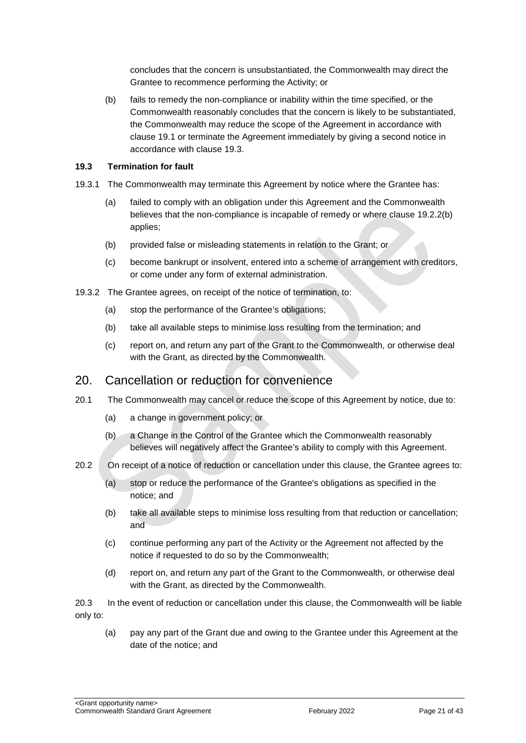concludes that the concern is unsubstantiated, the Commonwealth may direct the Grantee to recommence performing the Activity; or

(b) fails to remedy the non‐compliance or inability within the time specified, or the Commonwealth reasonably concludes that the concern is likely to be substantiated, the Commonwealth may reduce the scope of the Agreement in accordance with clause 19.1 or terminate the Agreement immediately by giving a second notice in accordance with clause 19.3.

#### **19.3 Termination for fault**

- 19.3.1 The Commonwealth may terminate this Agreement by notice where the Grantee has:
	- (a) failed to comply with an obligation under this Agreement and the Commonwealth believes that the non-compliance is incapable of remedy or where clause 19.2.2(b) applies;
	- (b) provided false or misleading statements in relation to the Grant; or
	- (c) become bankrupt or insolvent, entered into a scheme of arrangement with creditors, or come under any form of external administration.
- 19.3.2 The Grantee agrees, on receipt of the notice of termination, to:
	- (a) stop the performance of the Grantee's obligations;
	- (b) take all available steps to minimise loss resulting from the termination; and
	- (c) report on, and return any part of the Grant to the Commonwealth, or otherwise deal with the Grant, as directed by the Commonwealth.

#### 20. Cancellation or reduction for convenience

- 20.1 The Commonwealth may cancel or reduce the scope of this Agreement by notice, due to:
	- (a) a change in government policy; or
	- (b) a Change in the Control of the Grantee which the Commonwealth reasonably believes will negatively affect the Grantee's ability to comply with this Agreement.
- 20.2 On receipt of a notice of reduction or cancellation under this clause, the Grantee agrees to:
	- (a) stop or reduce the performance of the Grantee's obligations as specified in the notice; and
	- (b) take all available steps to minimise loss resulting from that reduction or cancellation; and
	- (c) continue performing any part of the Activity or the Agreement not affected by the notice if requested to do so by the Commonwealth;
	- (d) report on, and return any part of the Grant to the Commonwealth, or otherwise deal with the Grant, as directed by the Commonwealth.

20.3 In the event of reduction or cancellation under this clause, the Commonwealth will be liable only to:

(a) pay any part of the Grant due and owing to the Grantee under this Agreement at the date of the notice; and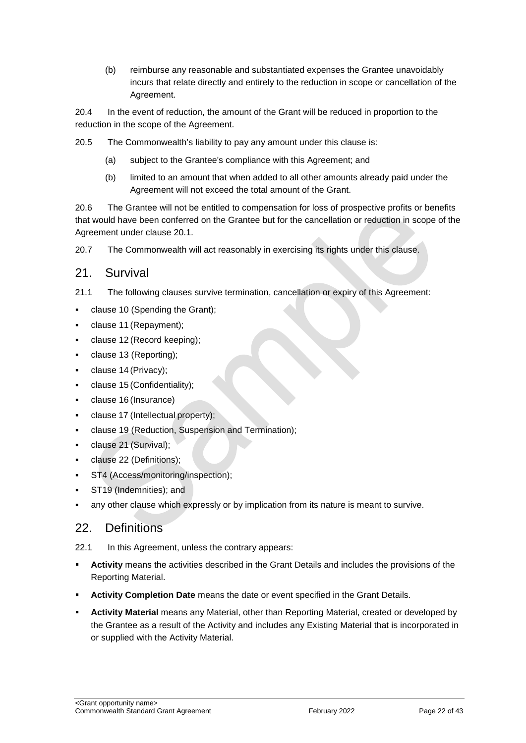(b) reimburse any reasonable and substantiated expenses the Grantee unavoidably incurs that relate directly and entirely to the reduction in scope or cancellation of the Agreement.

20.4 In the event of reduction, the amount of the Grant will be reduced in proportion to the reduction in the scope of the Agreement.

20.5 The Commonwealth's liability to pay any amount under this clause is:

- (a) subject to the Grantee's compliance with this Agreement; and
- (b) limited to an amount that when added to all other amounts already paid under the Agreement will not exceed the total amount of the Grant.

20.6 The Grantee will not be entitled to compensation for loss of prospective profits or benefits that would have been conferred on the Grantee but for the cancellation or reduction in scope of the Agreement under clause 20.1.

20.7 The Commonwealth will act reasonably in exercising its rights under this clause.

#### 21. Survival

- 21.1 The following clauses survive termination, cancellation or expiry of this Agreement:
- clause 10 (Spending the Grant);
- clause 11 (Repayment);
- clause 12 (Record keeping);
- clause 13 (Reporting);
- clause 14 (Privacy);
- clause 15 (Confidentiality);
- clause 16 (Insurance)
- clause 17 (Intellectual property);
- clause 19 (Reduction, Suspension and Termination);
- clause 21 (Survival);
- clause 22 (Definitions);
- ST4 (Access/monitoring/inspection);
- ST19 (Indemnities); and
- any other clause which expressly or by implication from its nature is meant to survive.

#### 22. Definitions

22.1 In this Agreement, unless the contrary appears:

- **Activity** means the activities described in the Grant Details and includes the provisions of the Reporting Material.
- **Activity Completion Date** means the date or event specified in the Grant Details.
- **Activity Material** means any Material, other than Reporting Material, created or developed by the Grantee as a result of the Activity and includes any Existing Material that is incorporated in or supplied with the Activity Material.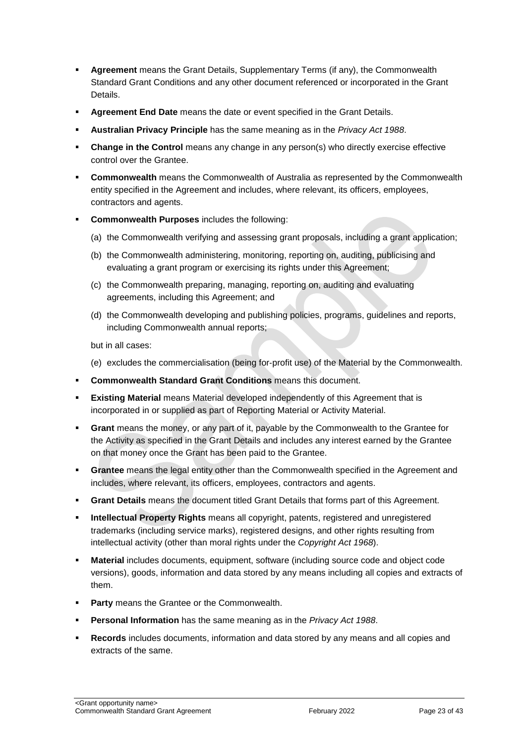- **Agreement** means the Grant Details, Supplementary Terms (if any), the Commonwealth Standard Grant Conditions and any other document referenced or incorporated in the Grant Details.
- **Agreement End Date** means the date or event specified in the Grant Details.
- **Australian Privacy Principle** has the same meaning as in the *Privacy Act 1988*.
- **Change in the Control** means any change in any person(s) who directly exercise effective control over the Grantee.
- **Commonwealth** means the Commonwealth of Australia as represented by the Commonwealth entity specified in the Agreement and includes, where relevant, its officers, employees, contractors and agents.
- **Commonwealth Purposes** includes the following:
	- (a) the Commonwealth verifying and assessing grant proposals, including a grant application;
	- (b) the Commonwealth administering, monitoring, reporting on, auditing, publicising and evaluating a grant program or exercising its rights under this Agreement;
	- (c) the Commonwealth preparing, managing, reporting on, auditing and evaluating agreements, including this Agreement; and
	- (d) the Commonwealth developing and publishing policies, programs, guidelines and reports, including Commonwealth annual reports;

but in all cases:

- (e) excludes the commercialisation (being for‐profit use) of the Material by the Commonwealth.
- **Commonwealth Standard Grant Conditions** means this document.
- **Existing Material** means Material developed independently of this Agreement that is incorporated in or supplied as part of Reporting Material or Activity Material.
- **Grant** means the money, or any part of it, payable by the Commonwealth to the Grantee for the Activity as specified in the Grant Details and includes any interest earned by the Grantee on that money once the Grant has been paid to the Grantee.
- **Grantee** means the legal entity other than the Commonwealth specified in the Agreement and includes, where relevant, its officers, employees, contractors and agents.
- **Grant Details** means the document titled Grant Details that forms part of this Agreement.
- **Intellectual Property Rights** means all copyright, patents, registered and unregistered trademarks (including service marks), registered designs, and other rights resulting from intellectual activity (other than moral rights under the *Copyright Act 1968*).
- **Material** includes documents, equipment, software (including source code and object code versions), goods, information and data stored by any means including all copies and extracts of them.
- **Party** means the Grantee or the Commonwealth.
- **Personal Information** has the same meaning as in the *Privacy Act 1988*.
- **Records** includes documents, information and data stored by any means and all copies and extracts of the same.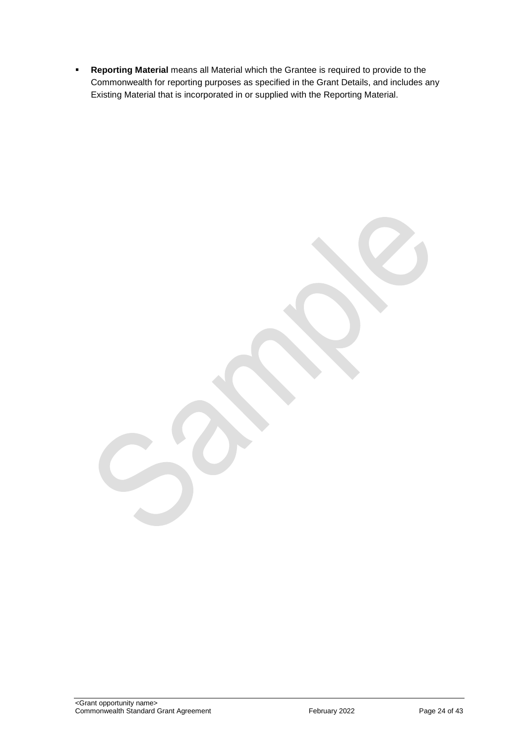**Reporting Material** means all Material which the Grantee is required to provide to the Commonwealth for reporting purposes as specified in the Grant Details, and includes any Existing Material that is incorporated in or supplied with the Reporting Material.

<Grant opportunity name> Commonwealth Standard Grant Agreement **February 2022** Page 24 of 43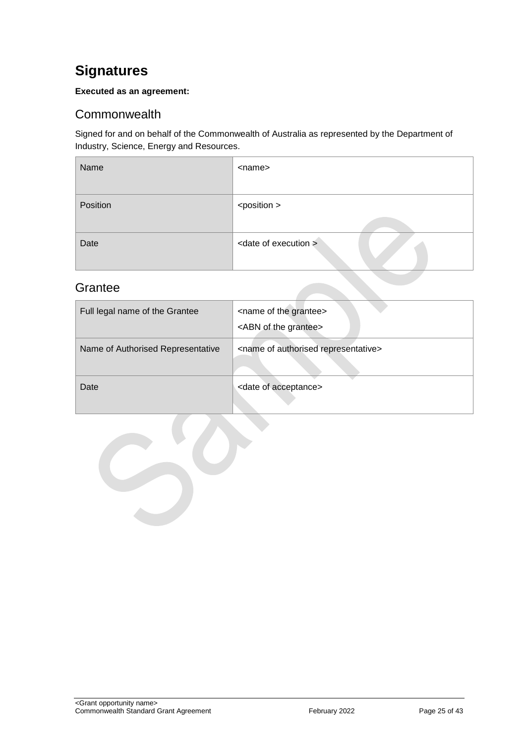## <span id="page-24-0"></span>**Signatures**

#### **Executed as an agreement:**

### <span id="page-24-1"></span>**Commonwealth**

Signed for and on behalf of the Commonwealth of Australia as represented by the Department of Industry, Science, Energy and Resources.

| Name     | <name></name>                    |
|----------|----------------------------------|
| Position | <position></position>            |
| Date     | <date execution="" of=""></date> |

### <span id="page-24-2"></span>**Grantee**

| Full legal name of the Grantee    | <name grantee="" of="" the=""><br/><abn grantee="" of="" the=""></abn></name> |
|-----------------------------------|-------------------------------------------------------------------------------|
| Name of Authorised Representative | <name authorised="" of="" representative=""></name>                           |
| Date                              | <date acceptance="" of=""></date>                                             |

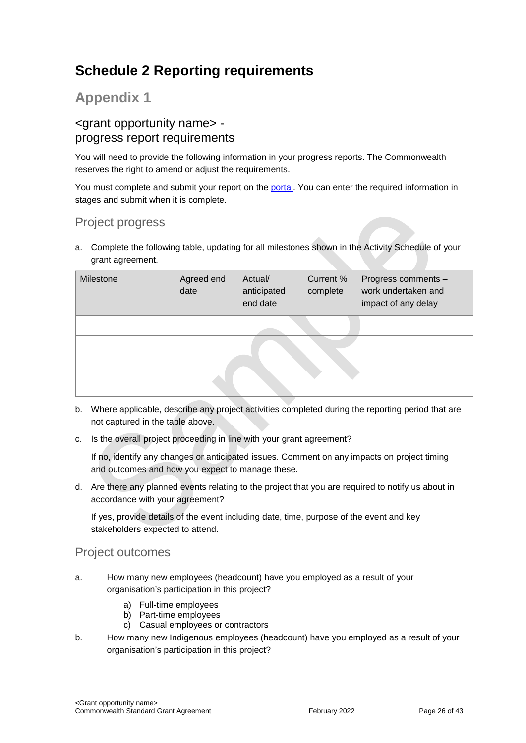## <span id="page-25-0"></span>**Schedule 2 Reporting requirements**

## **Appendix 1**

#### <grant opportunity name> progress report requirements

You will need to provide the following information in your progress reports. The Commonwealth reserves the right to amend or adjust the requirements.

You must complete and submit your report on the [portal.](https://portal.business.gov.au/) You can enter the required information in stages and submit when it is complete.

## Project progress

a. Complete the following table, updating for all milestones shown in the Activity Schedule of your grant agreement.

| Milestone | Agreed end<br>date | Actual/<br>anticipated<br>end date | Current %<br>complete | Progress comments -<br>work undertaken and<br>impact of any delay |
|-----------|--------------------|------------------------------------|-----------------------|-------------------------------------------------------------------|
|           |                    |                                    |                       |                                                                   |
|           |                    |                                    |                       |                                                                   |
|           |                    |                                    |                       |                                                                   |
|           |                    |                                    |                       |                                                                   |

- b. Where applicable, describe any project activities completed during the reporting period that are not captured in the table above.
- c. Is the overall project proceeding in line with your grant agreement?

If no, identify any changes or anticipated issues. Comment on any impacts on project timing and outcomes and how you expect to manage these.

d. Are there any planned events relating to the project that you are required to notify us about in accordance with your agreement?

If yes, provide details of the event including date, time, purpose of the event and key stakeholders expected to attend.

#### Project outcomes

- a. How many new employees (headcount) have you employed as a result of your organisation's participation in this project?
	- a) Full-time employees
	- b) Part-time employees
	- c) Casual employees or contractors
- b. How many new Indigenous employees (headcount) have you employed as a result of your organisation's participation in this project?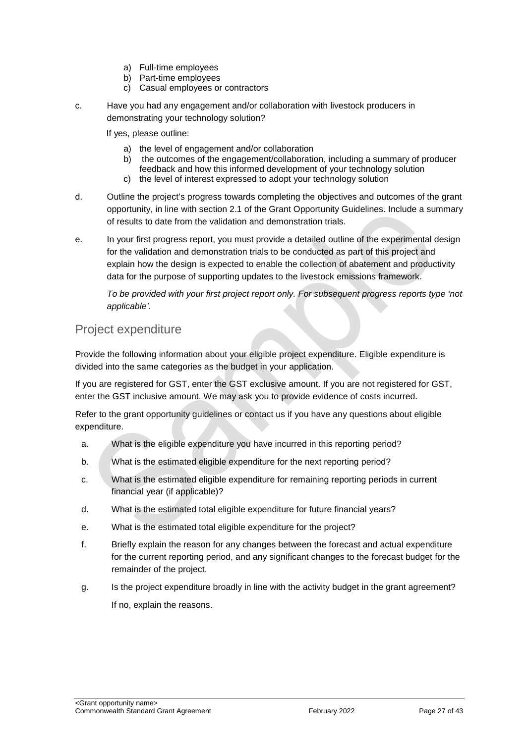- a) Full-time employees
- b) Part-time employees
- c) Casual employees or contractors
- c. Have you had any engagement and/or collaboration with livestock producers in demonstrating your technology solution?

If yes, please outline:

- a) the level of engagement and/or collaboration
- b) the outcomes of the engagement/collaboration, including a summary of producer feedback and how this informed development of your technology solution
- c) the level of interest expressed to adopt your technology solution
- d. Outline the project's progress towards completing the objectives and outcomes of the grant opportunity, in line with section 2.1 of the Grant Opportunity Guidelines. Include a summary of results to date from the validation and demonstration trials.
- e. In your first progress report, you must provide a detailed outline of the experimental design for the validation and demonstration trials to be conducted as part of this project and explain how the design is expected to enable the collection of abatement and productivity data for the purpose of supporting updates to the livestock emissions framework.

*To be provided with your first project report only. For subsequent progress reports type 'not applicable'.*

#### Project expenditure

Provide the following information about your eligible project expenditure. Eligible expenditure is divided into the same categories as the budget in your application.

If you are registered for GST, enter the GST exclusive amount. If you are not registered for GST, enter the GST inclusive amount. We may ask you to provide evidence of costs incurred.

Refer to the grant opportunity guidelines or contact us if you have any questions about eligible expenditure.

- a. What is the eligible expenditure you have incurred in this reporting period?
- b. What is the estimated eligible expenditure for the next reporting period?
- c. What is the estimated eligible expenditure for remaining reporting periods in current financial year (if applicable)?
- d. What is the estimated total eligible expenditure for future financial years?
- e. What is the estimated total eligible expenditure for the project?
- f. Briefly explain the reason for any changes between the forecast and actual expenditure for the current reporting period, and any significant changes to the forecast budget for the remainder of the project.
- g. Is the project expenditure broadly in line with the activity budget in the grant agreement? If no, explain the reasons.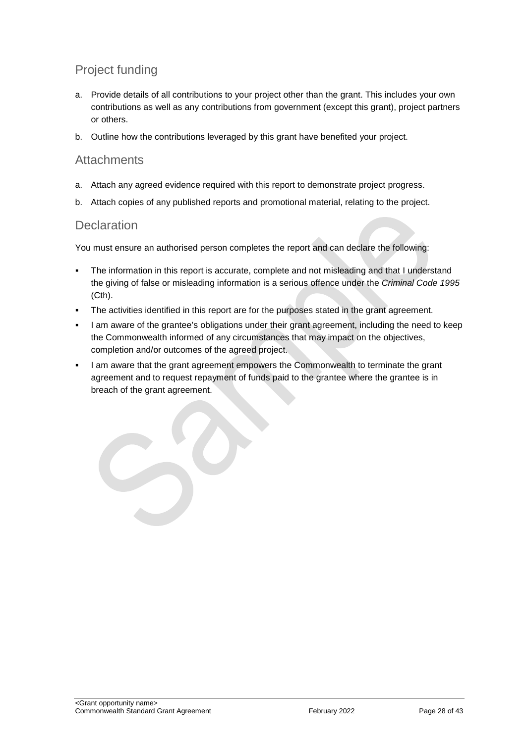## Project funding

- a. Provide details of all contributions to your project other than the grant. This includes your own contributions as well as any contributions from government (except this grant), project partners or others.
- b. Outline how the contributions leveraged by this grant have benefited your project.

#### **Attachments**

- a. Attach any agreed evidence required with this report to demonstrate project progress.
- b. Attach copies of any published reports and promotional material, relating to the project.

#### **Declaration**

You must ensure an authorised person completes the report and can declare the following:

- The information in this report is accurate, complete and not misleading and that I understand the giving of false or misleading information is a serious offence under the *Criminal Code 1995* (Cth).
- The activities identified in this report are for the purposes stated in the grant agreement.
- I am aware of the grantee's obligations under their grant agreement, including the need to keep the Commonwealth informed of any circumstances that may impact on the objectives, completion and/or outcomes of the agreed project.
- I am aware that the grant agreement empowers the Commonwealth to terminate the grant agreement and to request repayment of funds paid to the grantee where the grantee is in breach of the grant agreement.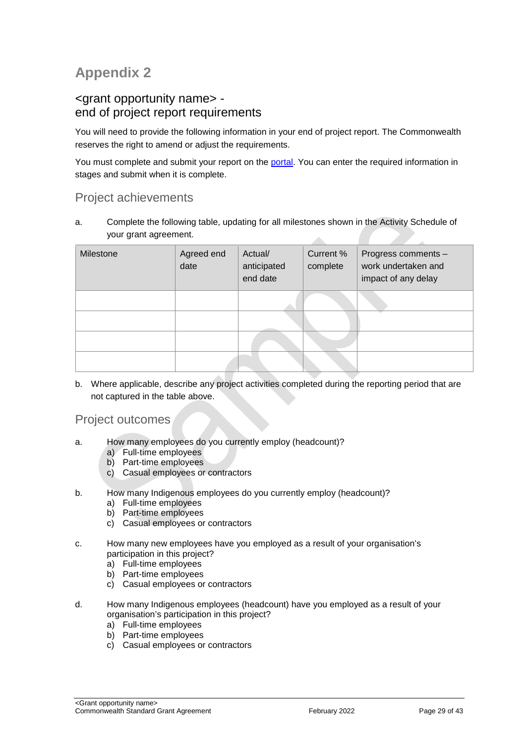## **Appendix 2**

#### <grant opportunity name> end of project report requirements

You will need to provide the following information in your end of project report. The Commonwealth reserves the right to amend or adjust the requirements.

You must complete and submit your report on the [portal.](https://portal.business.gov.au/) You can enter the required information in stages and submit when it is complete.

#### Project achievements

a. Complete the following table, updating for all milestones shown in the Activity Schedule of your grant agreement. zh.

| Milestone | Agreed end<br>date | Actual/<br>anticipated<br>end date | Current %<br>complete | Progress comments -<br>work undertaken and<br>impact of any delay |
|-----------|--------------------|------------------------------------|-----------------------|-------------------------------------------------------------------|
|           |                    |                                    |                       |                                                                   |
|           |                    |                                    |                       |                                                                   |
|           |                    |                                    |                       |                                                                   |
|           |                    |                                    |                       |                                                                   |

b. Where applicable, describe any project activities completed during the reporting period that are not captured in the table above.

#### Project outcomes

- a. How many employees do you currently employ (headcount)?
	- a) Full-time employees
	- b) Part-time employees
	- c) Casual employees or contractors
- b. How many Indigenous employees do you currently employ (headcount)?
	- a) Full-time employees
	- b) Part-time employees
	- c) Casual employees or contractors
- c. How many new employees have you employed as a result of your organisation's participation in this project?
	- a) Full-time employees
	- b) Part-time employees
	- c) Casual employees or contractors
- d. How many Indigenous employees (headcount) have you employed as a result of your organisation's participation in this project?
	- a) Full-time employees
	- b) Part-time employees
	- c) Casual employees or contractors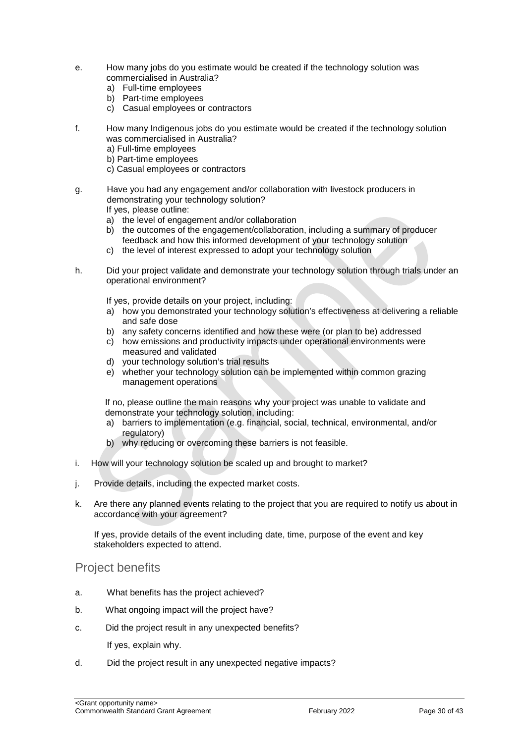- e. How many jobs do you estimate would be created if the technology solution was commercialised in Australia?
	- a) Full-time employees
	- b) Part-time employees
	- c) Casual employees or contractors
- f. How many Indigenous jobs do you estimate would be created if the technology solution was commercialised in Australia?
	- a) Full-time employees
	- b) Part-time employees
	- c) Casual employees or contractors
- g. Have you had any engagement and/or collaboration with livestock producers in demonstrating your technology solution? If yes, please outline:
	- a) the level of engagement and/or collaboration
	- b) the outcomes of the engagement/collaboration, including a summary of producer feedback and how this informed development of your technology solution
	- c) the level of interest expressed to adopt your technology solution
- h. Did your project validate and demonstrate your technology solution through trials under an operational environment?

If yes, provide details on your project, including:

- a) how you demonstrated your technology solution's effectiveness at delivering a reliable and safe dose
- b) any safety concerns identified and how these were (or plan to be) addressed
- c) how emissions and productivity impacts under operational environments were measured and validated
- d) your technology solution's trial results
- e) whether your technology solution can be implemented within common grazing management operations

If no, please outline the main reasons why your project was unable to validate and demonstrate your technology solution, including:

- a) barriers to implementation (e.g. financial, social, technical, environmental, and/or regulatory)
- b) why reducing or overcoming these barriers is not feasible.
- i. How will your technology solution be scaled up and brought to market?
- j. Provide details, including the expected market costs.
- k. Are there any planned events relating to the project that you are required to notify us about in accordance with your agreement?

If yes, provide details of the event including date, time, purpose of the event and key stakeholders expected to attend.

#### Project benefits

- a. What benefits has the project achieved?
- b. What ongoing impact will the project have?
- c. Did the project result in any unexpected benefits?

If yes, explain why.

d. Did the project result in any unexpected negative impacts?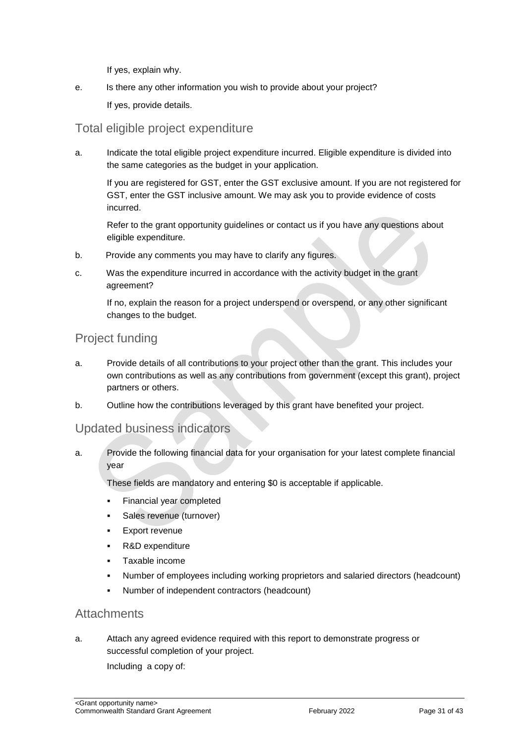If yes, explain why.

e. Is there any other information you wish to provide about your project? If yes, provide details.

### Total eligible project expenditure

a. Indicate the total eligible project expenditure incurred. Eligible expenditure is divided into the same categories as the budget in your application.

If you are registered for GST, enter the GST exclusive amount. If you are not registered for GST, enter the GST inclusive amount. We may ask you to provide evidence of costs incurred.

Refer to the grant opportunity guidelines or contact us if you have any questions about eligible expenditure.

- b. Provide any comments you may have to clarify any figures.
- c. Was the expenditure incurred in accordance with the activity budget in the grant agreement?

If no, explain the reason for a project underspend or overspend, or any other significant changes to the budget.

#### Project funding

- a. Provide details of all contributions to your project other than the grant. This includes your own contributions as well as any contributions from government (except this grant), project partners or others.
- b. Outline how the contributions leveraged by this grant have benefited your project.

#### Updated business indicators

a. Provide the following financial data for your organisation for your latest complete financial year

These fields are mandatory and entering \$0 is acceptable if applicable.

- **Financial year completed**
- Sales revenue (turnover)
- **Export revenue**
- R&D expenditure
- Taxable income
- Number of employees including working proprietors and salaried directors (headcount)
- Number of independent contractors (headcount)

#### **Attachments**

a. Attach any agreed evidence required with this report to demonstrate progress or successful completion of your project.

Including a copy of: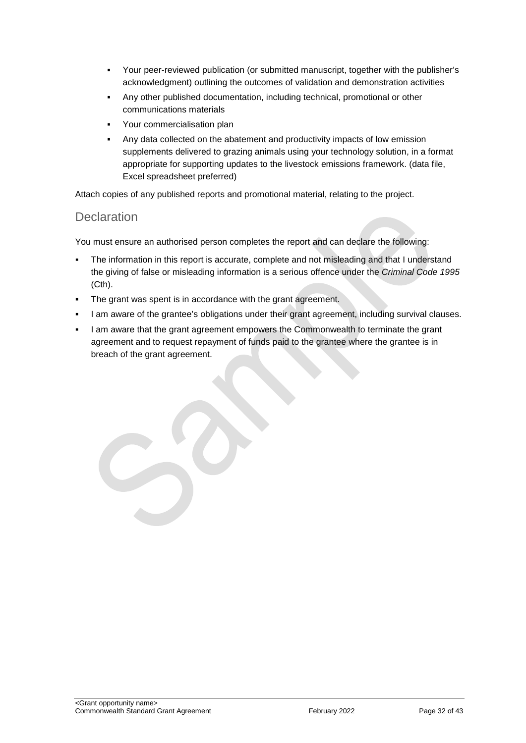- Your peer-reviewed publication (or submitted manuscript, together with the publisher's acknowledgment) outlining the outcomes of validation and demonstration activities
- Any other published documentation, including technical, promotional or other communications materials
- Your commercialisation plan
- Any data collected on the abatement and productivity impacts of low emission supplements delivered to grazing animals using your technology solution, in a format appropriate for supporting updates to the livestock emissions framework. (data file, Excel spreadsheet preferred)

Attach copies of any published reports and promotional material, relating to the project.

#### **Declaration**

You must ensure an authorised person completes the report and can declare the following:

- The information in this report is accurate, complete and not misleading and that I understand the giving of false or misleading information is a serious offence under the *Criminal Code 1995* (Cth).
- The grant was spent is in accordance with the grant agreement.
- I am aware of the grantee's obligations under their grant agreement, including survival clauses.
- I am aware that the grant agreement empowers the Commonwealth to terminate the grant agreement and to request repayment of funds paid to the grantee where the grantee is in breach of the grant agreement.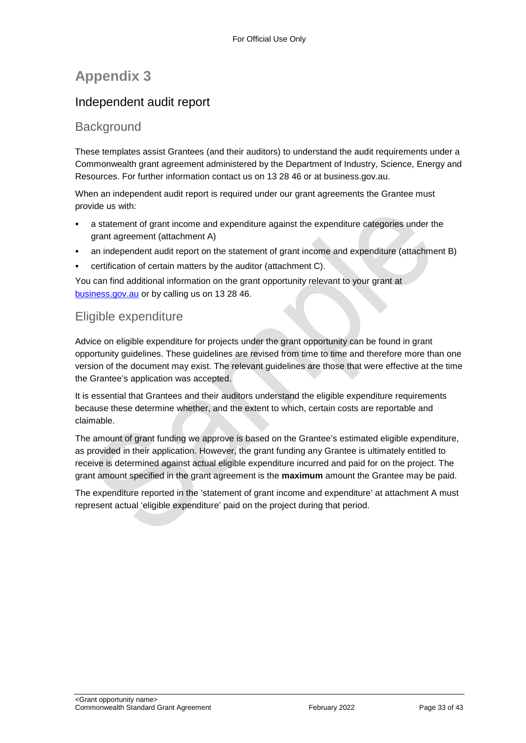## **Appendix 3**

## Independent audit report

#### **Background**

These templates assist Grantees (and their auditors) to understand the audit requirements under a Commonwealth grant agreement administered by the Department of Industry, Science, Energy and Resources. For further information contact us on 13 28 46 or at business.gov.au.

When an independent audit report is required under our grant agreements the Grantee must provide us with:

- a statement of grant income and expenditure against the expenditure categories under the grant agreement (attachment A)
- an independent audit report on the statement of grant income and expenditure (attachment B)
- certification of certain matters by the auditor (attachment C).

You can find additional information on the grant opportunity relevant to your grant at [business.gov.au](https://www.business.gov.au/) or by calling us on 13 28 46.

### Eligible expenditure

Advice on eligible expenditure for projects under the grant opportunity can be found in grant opportunity guidelines. These guidelines are revised from time to time and therefore more than one version of the document may exist. The relevant guidelines are those that were effective at the time the Grantee's application was accepted.

It is essential that Grantees and their auditors understand the eligible expenditure requirements because these determine whether, and the extent to which, certain costs are reportable and claimable.

The amount of grant funding we approve is based on the Grantee's estimated eligible expenditure, as provided in their application. However, the grant funding any Grantee is ultimately entitled to receive is determined against actual eligible expenditure incurred and paid for on the project. The grant amount specified in the grant agreement is the **maximum** amount the Grantee may be paid.

The expenditure reported in the 'statement of grant income and expenditure' at attachment A must represent actual 'eligible expenditure' paid on the project during that period.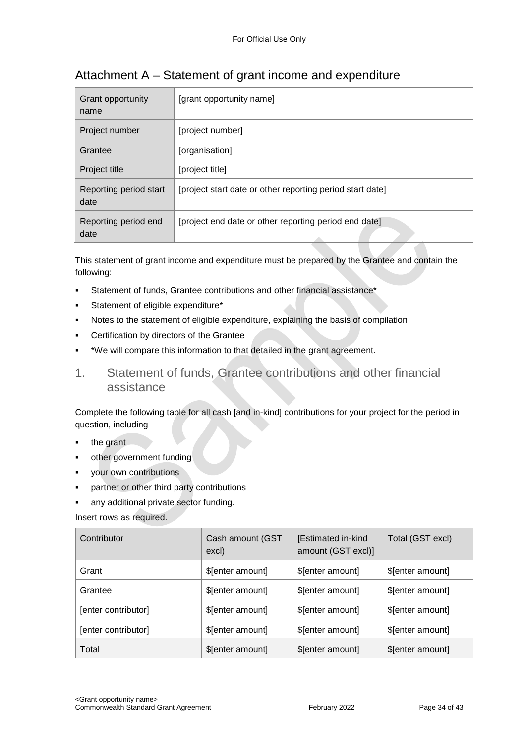| Grant opportunity<br>name      | [grant opportunity name]                                  |
|--------------------------------|-----------------------------------------------------------|
| Project number                 | [project number]                                          |
| Grantee                        | [organisation]                                            |
| Project title                  | [project title]                                           |
| Reporting period start<br>date | [project start date or other reporting period start date] |
| Reporting period end<br>date   | [project end date or other reporting period end date]     |

## Attachment A – Statement of grant income and expenditure

This statement of grant income and expenditure must be prepared by the Grantee and contain the following:

- Statement of funds, Grantee contributions and other financial assistance\*
- Statement of eligible expenditure\*
- Notes to the statement of eligible expenditure, explaining the basis of compilation
- Certification by directors of the Grantee
- \*We will compare this information to that detailed in the grant agreement.
- 1. Statement of funds, Grantee contributions and other financial assistance

Complete the following table for all cash [and in-kind] contributions for your project for the period in question, including

- the grant
- other government funding
- your own contributions
- partner or other third party contributions
- any additional private sector funding.

Insert rows as required.

| Contributor         | Cash amount (GST<br>excl) | [Estimated in-kind<br>amount (GST excl)] | Total (GST excl) |
|---------------------|---------------------------|------------------------------------------|------------------|
| Grant               | \$[enter amount]          | \$[enter amount]                         | \$[enter amount] |
| Grantee             | \$[enter amount]          | \$[enter amount]                         | \$[enter amount] |
| [enter contributor] | \$[enter amount]          | \$[enter amount]                         | \$[enter amount] |
| [enter contributor] | \$[enter amount]          | \$[enter amount]                         | \$[enter amount] |
| Total               | \$[enter amount]          | \$[enter amount]                         | \$[enter amount] |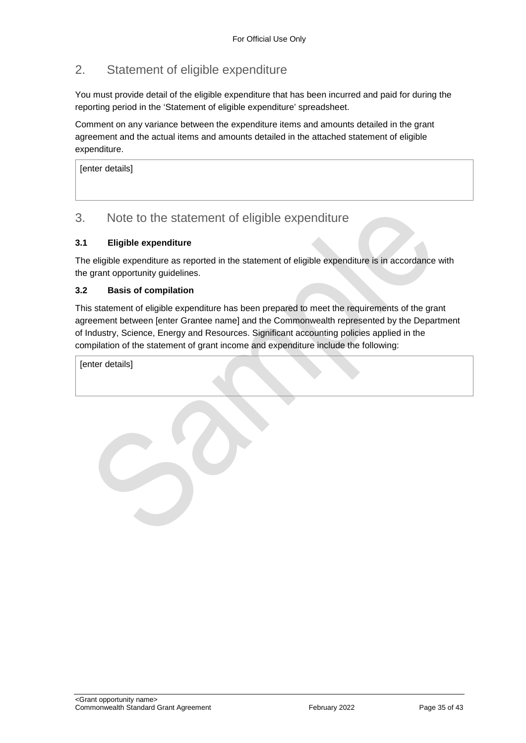## 2. Statement of eligible expenditure

You must provide detail of the eligible expenditure that has been incurred and paid for during the reporting period in the 'Statement of eligible expenditure' spreadsheet.

Comment on any variance between the expenditure items and amounts detailed in the grant agreement and the actual items and amounts detailed in the attached statement of eligible expenditure.

[enter details]

#### 3. Note to the statement of eligible expenditure

#### **3.1 Eligible expenditure**

The eligible expenditure as reported in the statement of eligible expenditure is in accordance with the grant opportunity guidelines.

#### **3.2 Basis of compilation**

This statement of eligible expenditure has been prepared to meet the requirements of the grant agreement between [enter Grantee name] and the Commonwealth represented by the Department of Industry, Science, Energy and Resources. Significant accounting policies applied in the compilation of the statement of grant income and expenditure include the following:

[enter details]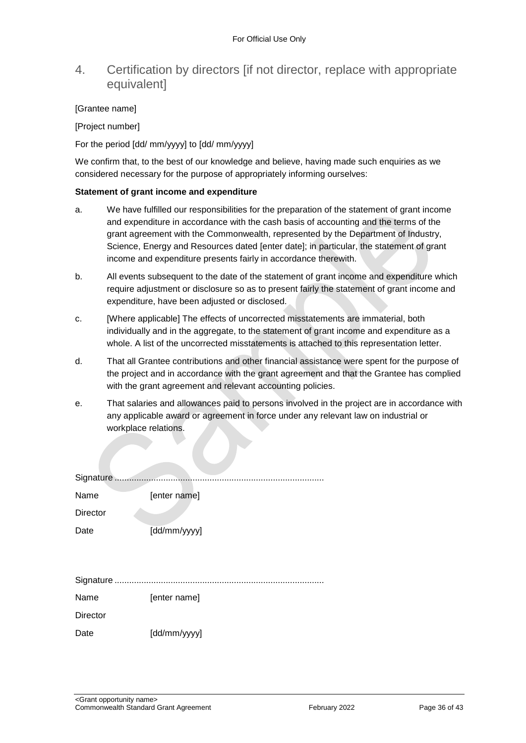#### 4. Certification by directors [if not director, replace with appropriate **equivalentl**

#### [Grantee name]

[Project number]

For the period [dd/ mm/yyyy] to [dd/ mm/yyyy]

We confirm that, to the best of our knowledge and believe, having made such enquiries as we considered necessary for the purpose of appropriately informing ourselves:

#### **Statement of grant income and expenditure**

- a. We have fulfilled our responsibilities for the preparation of the statement of grant income and expenditure in accordance with the cash basis of accounting and the terms of the grant agreement with the Commonwealth, represented by the Department of Industry, Science, Energy and Resources dated [enter date]; in particular, the statement of grant income and expenditure presents fairly in accordance therewith.
- b. All events subsequent to the date of the statement of grant income and expenditure which require adjustment or disclosure so as to present fairly the statement of grant income and expenditure, have been adjusted or disclosed.
- c. [Where applicable] The effects of uncorrected misstatements are immaterial, both individually and in the aggregate, to the statement of grant income and expenditure as a whole. A list of the uncorrected misstatements is attached to this representation letter.
- d. That all Grantee contributions and other financial assistance were spent for the purpose of the project and in accordance with the grant agreement and that the Grantee has complied with the grant agreement and relevant accounting policies.
- e. That salaries and allowances paid to persons involved in the project are in accordance with any applicable award or agreement in force under any relevant law on industrial or workplace relations.

| Signature       |              |
|-----------------|--------------|
| Name            | [enter name] |
| <b>Director</b> |              |
| Date            | [dd/mm/yyyy] |
|                 |              |
|                 |              |
|                 |              |
| Name            | [enter name] |
| <b>Director</b> |              |
| Date            | [dd/mm/yyyy] |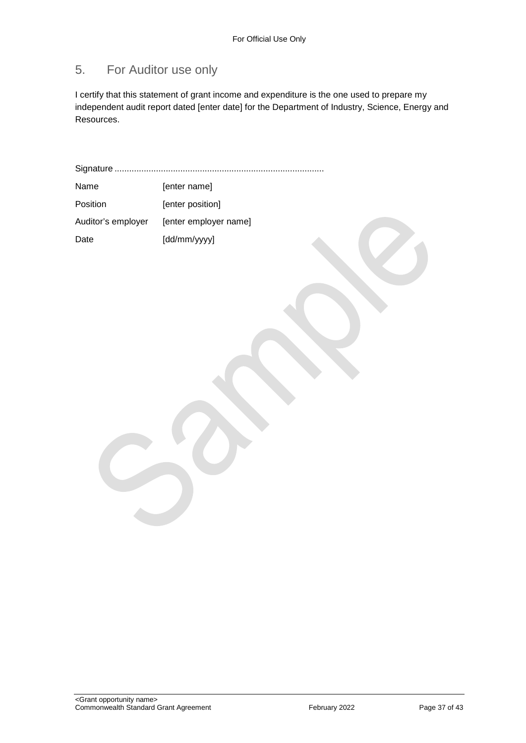## 5. For Auditor use only

I certify that this statement of grant income and expenditure is the one used to prepare my independent audit report dated [enter date] for the Department of Industry, Science, Energy and Resources.

Signature ...................................................................................... Name [enter name]

| Position           | [enter position]      |
|--------------------|-----------------------|
| Auditor's employer | [enter employer name] |
| Date               | [dd/mm/yyyy]          |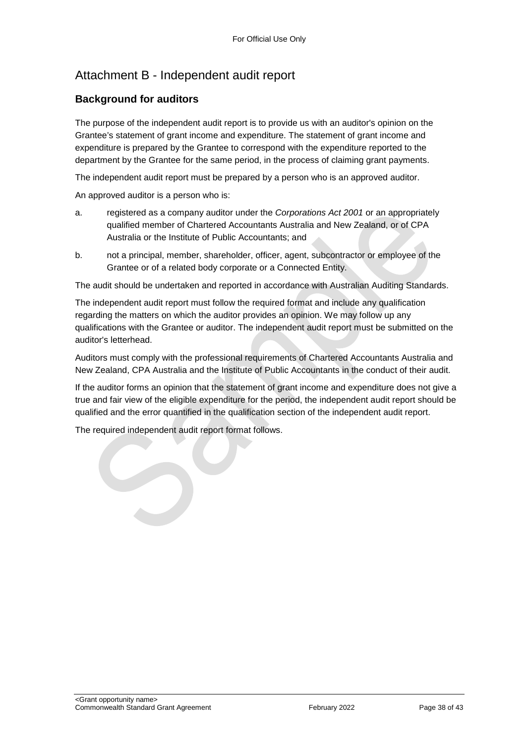## Attachment B - Independent audit report

#### **Background for auditors**

The purpose of the independent audit report is to provide us with an auditor's opinion on the Grantee's statement of grant income and expenditure. The statement of grant income and expenditure is prepared by the Grantee to correspond with the expenditure reported to the department by the Grantee for the same period, in the process of claiming grant payments.

The independent audit report must be prepared by a person who is an approved auditor.

An approved auditor is a person who is:

- a. registered as a company auditor under the *Corporations Act 2001* or an appropriately qualified member of Chartered Accountants Australia and New Zealand, or of CPA Australia or the Institute of Public Accountants; and
- b. not a principal, member, shareholder, officer, agent, subcontractor or employee of the Grantee or of a related body corporate or a Connected Entity.

The audit should be undertaken and reported in accordance with Australian Auditing Standards.

The independent audit report must follow the required format and include any qualification regarding the matters on which the auditor provides an opinion. We may follow up any qualifications with the Grantee or auditor. The independent audit report must be submitted on the auditor's letterhead.

Auditors must comply with the professional requirements of Chartered Accountants Australia and New Zealand, CPA Australia and the Institute of Public Accountants in the conduct of their audit.

If the auditor forms an opinion that the statement of grant income and expenditure does not give a true and fair view of the eligible expenditure for the period, the independent audit report should be qualified and the error quantified in the qualification section of the independent audit report.

The required independent audit report format follows.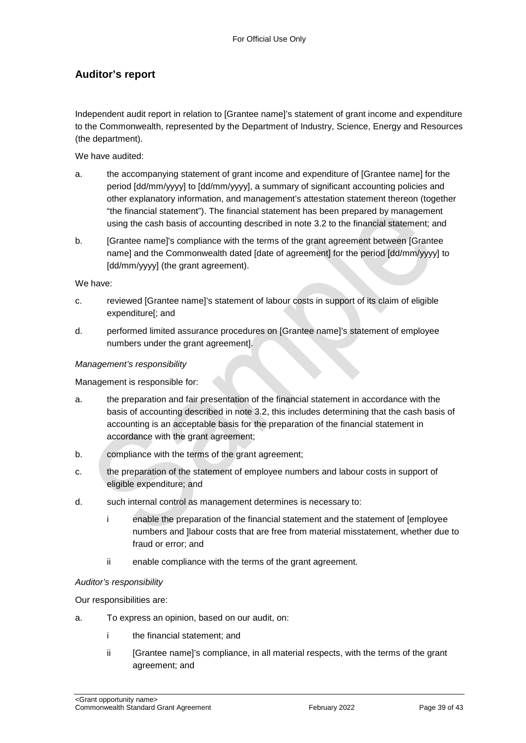#### **Auditor's report**

Independent audit report in relation to [Grantee name]'s statement of grant income and expenditure to the Commonwealth, represented by the Department of Industry, Science, Energy and Resources (the department).

We have audited:

- a. the accompanying statement of grant income and expenditure of [Grantee name] for the period [dd/mm/yyyy] to [dd/mm/yyyy], a summary of significant accounting policies and other explanatory information, and management's attestation statement thereon (together "the financial statement"). The financial statement has been prepared by management using the cash basis of accounting described in note 3.2 to the financial statement; and
- b. [Grantee name]'s compliance with the terms of the grant agreement between [Grantee name] and the Commonwealth dated [date of agreement] for the period [dd/mm/yyyy] to [dd/mm/yyyy] (the grant agreement).

We have:

- c. reviewed [Grantee name]'s statement of labour costs in support of its claim of eligible expenditure[; and
- d. performed limited assurance procedures on [Grantee name]'s statement of employee numbers under the grant agreement].

#### *Management's responsibility*

Management is responsible for:

- a. the preparation and fair presentation of the financial statement in accordance with the basis of accounting described in note 3.2, this includes determining that the cash basis of accounting is an acceptable basis for the preparation of the financial statement in accordance with the grant agreement;
- b. compliance with the terms of the grant agreement;
- c. the preparation of the statement of employee numbers and labour costs in support of eligible expenditure; and
- d. such internal control as management determines is necessary to:
	- i enable the preparation of the financial statement and the statement of [employee numbers and ]labour costs that are free from material misstatement, whether due to fraud or error; and
	- ii enable compliance with the terms of the grant agreement.

#### *Auditor's responsibility*

Our responsibilities are:

- a. To express an opinion, based on our audit, on:
	- i the financial statement; and
	- ii [Grantee name]'s compliance, in all material respects, with the terms of the grant agreement; and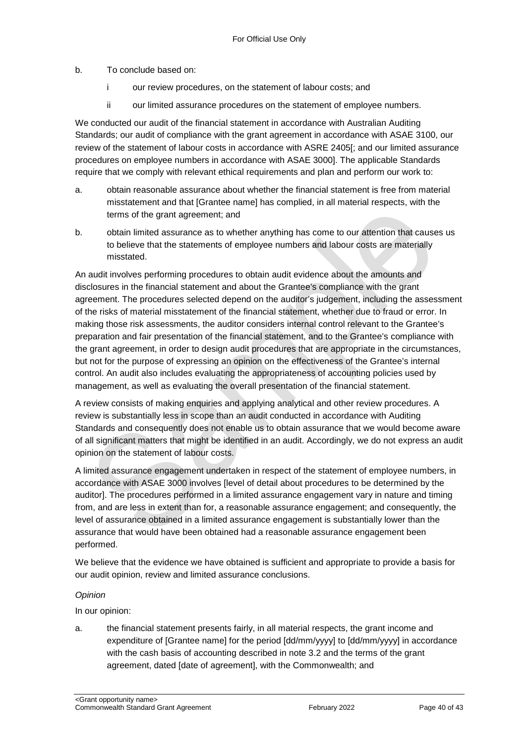b. To conclude based on:

- i our review procedures, on the statement of labour costs; and
- ii our limited assurance procedures on the statement of employee numbers.

We conducted our audit of the financial statement in accordance with Australian Auditing Standards; our audit of compliance with the grant agreement in accordance with ASAE 3100, our review of the statement of labour costs in accordance with ASRE 2405[; and our limited assurance procedures on employee numbers in accordance with ASAE 3000]. The applicable Standards require that we comply with relevant ethical requirements and plan and perform our work to:

- a. obtain reasonable assurance about whether the financial statement is free from material misstatement and that [Grantee name] has complied, in all material respects, with the terms of the grant agreement; and
- b. obtain limited assurance as to whether anything has come to our attention that causes us to believe that the statements of employee numbers and labour costs are materially misstated.

An audit involves performing procedures to obtain audit evidence about the amounts and disclosures in the financial statement and about the Grantee's compliance with the grant agreement. The procedures selected depend on the auditor's judgement, including the assessment of the risks of material misstatement of the financial statement, whether due to fraud or error. In making those risk assessments, the auditor considers internal control relevant to the Grantee's preparation and fair presentation of the financial statement, and to the Grantee's compliance with the grant agreement, in order to design audit procedures that are appropriate in the circumstances, but not for the purpose of expressing an opinion on the effectiveness of the Grantee's internal control. An audit also includes evaluating the appropriateness of accounting policies used by management, as well as evaluating the overall presentation of the financial statement.

A review consists of making enquiries and applying analytical and other review procedures. A review is substantially less in scope than an audit conducted in accordance with Auditing Standards and consequently does not enable us to obtain assurance that we would become aware of all significant matters that might be identified in an audit. Accordingly, we do not express an audit opinion on the statement of labour costs.

A limited assurance engagement undertaken in respect of the statement of employee numbers, in accordance with ASAE 3000 involves [level of detail about procedures to be determined by the auditor]. The procedures performed in a limited assurance engagement vary in nature and timing from, and are less in extent than for, a reasonable assurance engagement; and consequently, the level of assurance obtained in a limited assurance engagement is substantially lower than the assurance that would have been obtained had a reasonable assurance engagement been performed.

We believe that the evidence we have obtained is sufficient and appropriate to provide a basis for our audit opinion, review and limited assurance conclusions.

#### *Opinion*

In our opinion:

a. the financial statement presents fairly, in all material respects, the grant income and expenditure of [Grantee name] for the period [dd/mm/yyyy] to [dd/mm/yyyy] in accordance with the cash basis of accounting described in note 3.2 and the terms of the grant agreement, dated [date of agreement], with the Commonwealth; and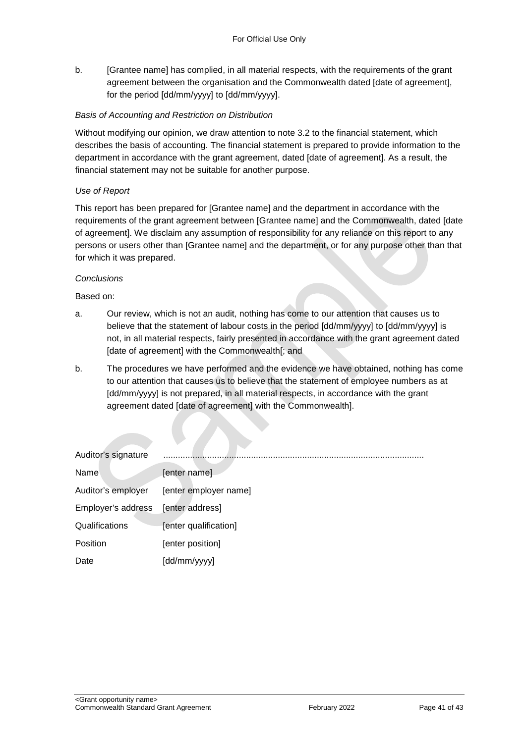b. [Grantee name] has complied, in all material respects, with the requirements of the grant agreement between the organisation and the Commonwealth dated [date of agreement], for the period [dd/mm/yyyy] to [dd/mm/yyyy].

#### *Basis of Accounting and Restriction on Distribution*

Without modifying our opinion, we draw attention to note 3.2 to the financial statement, which describes the basis of accounting. The financial statement is prepared to provide information to the department in accordance with the grant agreement, dated [date of agreement]. As a result, the financial statement may not be suitable for another purpose.

#### *Use of Report*

This report has been prepared for [Grantee name] and the department in accordance with the requirements of the grant agreement between [Grantee name] and the Commonwealth, dated [date of agreement]. We disclaim any assumption of responsibility for any reliance on this report to any persons or users other than [Grantee name] and the department, or for any purpose other than that for which it was prepared.

#### *Conclusions*

Based on:

- a. Our review, which is not an audit, nothing has come to our attention that causes us to believe that the statement of labour costs in the period [dd/mm/yyyy] to [dd/mm/yyyy] is not, in all material respects, fairly presented in accordance with the grant agreement dated [date of agreement] with the Commonwealth[; and
- b. The procedures we have performed and the evidence we have obtained, nothing has come to our attention that causes us to believe that the statement of employee numbers as at [dd/mm/yyyy] is not prepared, in all material respects, in accordance with the grant agreement dated [date of agreement] with the Commonwealth].

| Auditor's signature |                       |
|---------------------|-----------------------|
| Name                | [enter name]          |
| Auditor's employer  | [enter employer name] |
| Employer's address  | [enter address]       |
| Qualifications      | [enter qualification] |
| Position            | [enter position]      |
| Date                | [dd/mm/yyyy]          |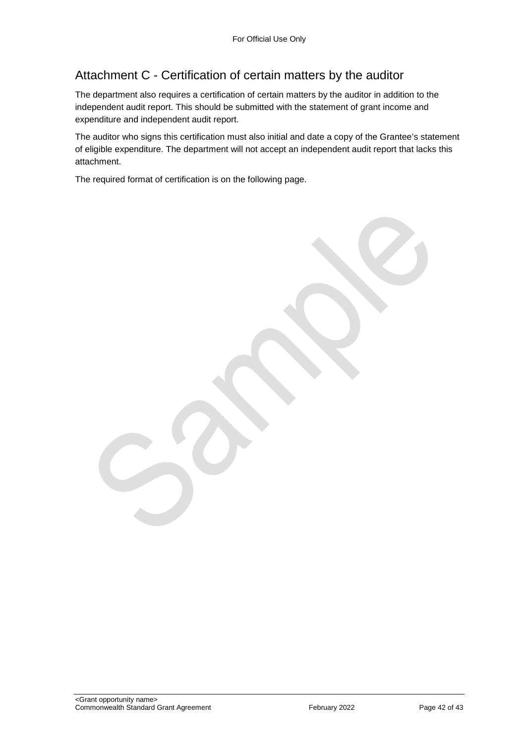## Attachment C - Certification of certain matters by the auditor

The department also requires a certification of certain matters by the auditor in addition to the independent audit report. This should be submitted with the statement of grant income and expenditure and independent audit report.

The auditor who signs this certification must also initial and date a copy of the Grantee's statement of eligible expenditure. The department will not accept an independent audit report that lacks this attachment.

The required format of certification is on the following page.